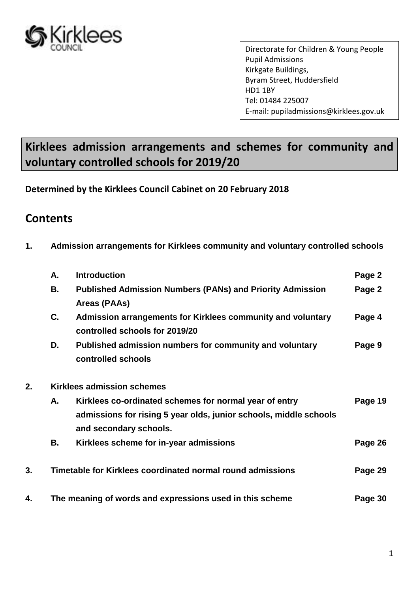

Directorate for Children & Young People Pupil Admissions Kirkgate Buildings, Byram Street, Huddersfield HD1 1BY Tel: 01484 225007 E-mail: pupiladmissions@kirklees.gov.uk

# **Kirklees admission arrangements and schemes for community and voluntary controlled schools for 2019/20**

**Determined by the Kirklees Council Cabinet on 20 February 2018**

# **Contents**

**1. Admission arrangements for Kirklees community and voluntary controlled schools**

|    | А. | <b>Introduction</b>                                                                                                                                   | Page 2  |
|----|----|-------------------------------------------------------------------------------------------------------------------------------------------------------|---------|
|    | В. | <b>Published Admission Numbers (PANs) and Priority Admission</b><br>Areas (PAAs)                                                                      | Page 2  |
|    | C. | Admission arrangements for Kirklees community and voluntary<br>controlled schools for 2019/20                                                         | Page 4  |
|    | D. | Published admission numbers for community and voluntary<br>controlled schools                                                                         | Page 9  |
| 2. |    | <b>Kirklees admission schemes</b>                                                                                                                     |         |
|    | А. | Kirklees co-ordinated schemes for normal year of entry<br>admissions for rising 5 year olds, junior schools, middle schools<br>and secondary schools. | Page 19 |
|    | В. | Kirklees scheme for in-year admissions                                                                                                                | Page 26 |
| 3. |    | Timetable for Kirklees coordinated normal round admissions                                                                                            | Page 29 |
| 4. |    | The meaning of words and expressions used in this scheme                                                                                              | Page 30 |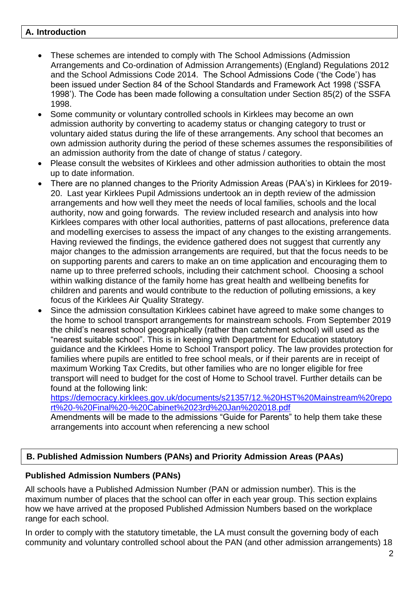#### **A. Introduction**

- These schemes are intended to comply with The School Admissions (Admission Arrangements and Co-ordination of Admission Arrangements) (England) Regulations 2012 and the School Admissions Code 2014. The School Admissions Code ('the Code') has been issued under Section 84 of the School Standards and Framework Act 1998 ('SSFA 1998'). The Code has been made following a consultation under Section 85(2) of the SSFA 1998.
- Some community or voluntary controlled schools in Kirklees may become an own admission authority by converting to academy status or changing category to trust or voluntary aided status during the life of these arrangements. Any school that becomes an own admission authority during the period of these schemes assumes the responsibilities of an admission authority from the date of change of status / category.
- Please consult the websites of Kirklees and other admission authorities to obtain the most up to date information.
- There are no planned changes to the Priority Admission Areas (PAA's) in Kirklees for 2019- 20. Last year Kirklees Pupil Admissions undertook an in depth review of the admission arrangements and how well they meet the needs of local families, schools and the local authority, now and going forwards. The review included research and analysis into how Kirklees compares with other local authorities, patterns of past allocations, preference data and modelling exercises to assess the impact of any changes to the existing arrangements. Having reviewed the findings, the evidence gathered does not suggest that currently any major changes to the admission arrangements are required, but that the focus needs to be on supporting parents and carers to make an on time application and encouraging them to name up to three preferred schools, including their catchment school. Choosing a school within walking distance of the family home has great health and wellbeing benefits for children and parents and would contribute to the reduction of polluting emissions, a key focus of the Kirklees Air Quality Strategy.
- Since the admission consultation Kirklees cabinet have agreed to make some changes to the home to school transport arrangements for mainstream schools. From September 2019 the child's nearest school geographically (rather than catchment school) will used as the "nearest suitable school". This is in keeping with Department for Education statutory guidance and the Kirklees Home to School Transport policy. The law provides protection for families where pupils are entitled to free school meals, or if their parents are in receipt of maximum Working Tax Credits, but other families who are no longer eligible for free transport will need to budget for the cost of Home to School travel. Further details can be found at the following link:

[https://democracy.kirklees.gov.uk/documents/s21357/12.%20HST%20Mainstream%20repo](https://democracy.kirklees.gov.uk/documents/s21357/12.%20HST%20Mainstream%20report%20-%20Final%20-%20Cabinet%2023rd%20Jan%202018.pdf) [rt%20-%20Final%20-%20Cabinet%2023rd%20Jan%202018.pdf](https://democracy.kirklees.gov.uk/documents/s21357/12.%20HST%20Mainstream%20report%20-%20Final%20-%20Cabinet%2023rd%20Jan%202018.pdf)

Amendments will be made to the admissions "Guide for Parents" to help them take these arrangements into account when referencing a new school

# **B. Published Admission Numbers (PANs) and Priority Admission Areas (PAAs)**

# **Published Admission Numbers (PANs)**

All schools have a Published Admission Number (PAN or admission number). This is the maximum number of places that the school can offer in each year group. This section explains how we have arrived at the proposed Published Admission Numbers based on the workplace range for each school.

In order to comply with the statutory timetable, the LA must consult the governing body of each community and voluntary controlled school about the PAN (and other admission arrangements) 18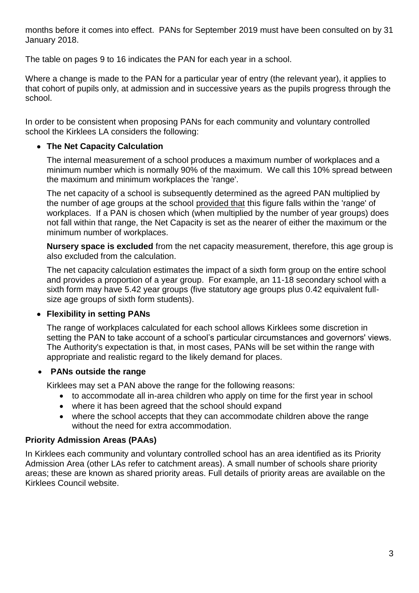months before it comes into effect. PANs for September 2019 must have been consulted on by 31 January 2018.

The table on pages 9 to 16 indicates the PAN for each year in a school.

Where a change is made to the PAN for a particular year of entry (the relevant year), it applies to that cohort of pupils only, at admission and in successive years as the pupils progress through the school.

In order to be consistent when proposing PANs for each community and voluntary controlled school the Kirklees LA considers the following:

# **The Net Capacity Calculation**

The internal measurement of a school produces a maximum number of workplaces and a minimum number which is normally 90% of the maximum. We call this 10% spread between the maximum and minimum workplaces the 'range'.

The net capacity of a school is subsequently determined as the agreed PAN multiplied by the number of age groups at the school provided that this figure falls within the 'range' of workplaces. If a PAN is chosen which (when multiplied by the number of year groups) does not fall within that range, the Net Capacity is set as the nearer of either the maximum or the minimum number of workplaces.

**Nursery space is excluded** from the net capacity measurement, therefore, this age group is also excluded from the calculation.

The net capacity calculation estimates the impact of a sixth form group on the entire school and provides a proportion of a year group. For example, an 11-18 secondary school with a sixth form may have 5.42 year groups (five statutory age groups plus 0.42 equivalent fullsize age groups of sixth form students).

# **Flexibility in setting PANs**

The range of workplaces calculated for each school allows Kirklees some discretion in setting the PAN to take account of a school's particular circumstances and governors' views. The Authority's expectation is that, in most cases, PANs will be set within the range with appropriate and realistic regard to the likely demand for places.

#### **PANs outside the range**

Kirklees may set a PAN above the range for the following reasons:

- to accommodate all in-area children who apply on time for the first year in school
- where it has been agreed that the school should expand
- where the school accepts that they can accommodate children above the range without the need for extra accommodation.

# **Priority Admission Areas (PAAs)**

In Kirklees each community and voluntary controlled school has an area identified as its Priority Admission Area (other LAs refer to catchment areas). A small number of schools share priority areas; these are known as shared priority areas. Full details of priority areas are available on the Kirklees Council website.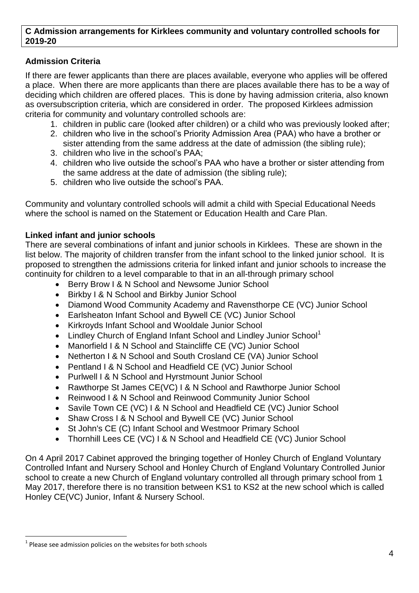#### **C Admission arrangements for Kirklees community and voluntary controlled schools for 2019-20**

# **Admission Criteria**

If there are fewer applicants than there are places available, everyone who applies will be offered a place. When there are more applicants than there are places available there has to be a way of deciding which children are offered places. This is done by having admission criteria, also known as oversubscription criteria, which are considered in order. The proposed Kirklees admission criteria for community and voluntary controlled schools are:

- 1. children in public care (looked after children) or a child who was previously looked after;
- 2. children who live in the school's Priority Admission Area (PAA) who have a brother or sister attending from the same address at the date of admission (the sibling rule);
- 3. children who live in the school's PAA;
- 4. children who live outside the school's PAA who have a brother or sister attending from the same address at the date of admission (the sibling rule);
- 5. children who live outside the school's PAA.

Community and voluntary controlled schools will admit a child with Special Educational Needs where the school is named on the Statement or Education Health and Care Plan.

# **Linked infant and junior schools**

There are several combinations of infant and junior schools in Kirklees. These are shown in the list below. The majority of children transfer from the infant school to the linked junior school. It is proposed to strengthen the admissions criteria for linked infant and junior schools to increase the continuity for children to a level comparable to that in an all-through primary school

- Berry Brow I & N School and Newsome Junior School
- Birkby I & N School and Birkby Junior School
- Diamond Wood Community Academy and Ravensthorpe CE (VC) Junior School
- Earlsheaton Infant School and Bywell CE (VC) Junior School
- Kirkroyds Infant School and Wooldale Junior School
- $\bullet$  Lindley Church of England Infant School and Lindley Junior School<sup>1</sup>
- Manorfield I & N School and Staincliffe CE (VC) Junior School
- Netherton I & N School and South Crosland CE (VA) Junior School
- Pentland I & N School and Headfield CE (VC) Junior School
- Purlwell I & N School and Hyrstmount Junior School
- Rawthorpe St James CE(VC) I & N School and Rawthorpe Junior School
- Reinwood I & N School and Reinwood Community Junior School
- Savile Town CE (VC) I & N School and Headfield CE (VC) Junior School
- Shaw Cross I & N School and Bywell CE (VC) Junior School
- St John's CE (C) Infant School and Westmoor Primary School
- Thornhill Lees CE (VC) I & N School and Headfield CE (VC) Junior School

On 4 April 2017 Cabinet approved the bringing together of Honley Church of England Voluntary Controlled Infant and Nursery School and Honley Church of England Voluntary Controlled Junior school to create a new Church of England voluntary controlled all through primary school from 1 May 2017, therefore there is no transition between KS1 to KS2 at the new school which is called Honley CE(VC) Junior, Infant & Nursery School.

<sup>1</sup>  $<sup>1</sup>$  Please see admission policies on the websites for both schools</sup>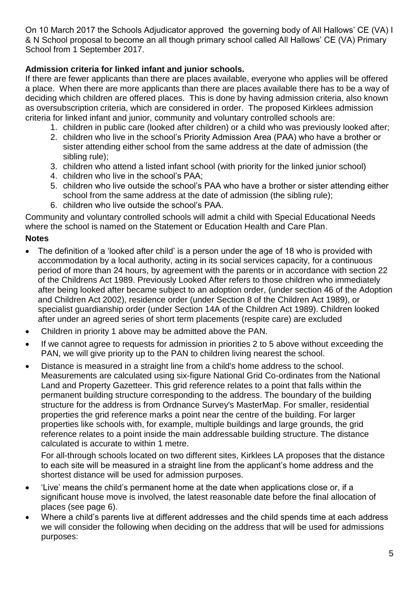On 10 March 2017 the Schools Adjudicator approved the governing body of All Hallows' CE (VA) I & N School proposal to become an all though primary school called All Hallows' CE (VA) Primary School from 1 September 2017.

# **Admission criteria for linked infant and junior schools.**

If there are fewer applicants than there are places available, everyone who applies will be offered a place. When there are more applicants than there are places available there has to be a way of deciding which children are offered places. This is done by having admission criteria, also known as oversubscription criteria, which are considered in order. The proposed Kirklees admission criteria for linked infant and junior, community and voluntary controlled schools are:

- 1. children in public care (looked after children) or a child who was previously looked after;
- 2. children who live in the school's Priority Admission Area (PAA) who have a brother or sister attending either school from the same address at the date of admission (the sibling rule);
- 3. children who attend a listed infant school (with priority for the linked junior school)
- 4. children who live in the school's PAA;
- 5. children who live outside the school's PAA who have a brother or sister attending either school from the same address at the date of admission (the sibling rule);
- 6. children who live outside the school's PAA.

Community and voluntary controlled schools will admit a child with Special Educational Needs where the school is named on the Statement or Education Health and Care Plan.

# **Notes**

- The definition of a 'looked after child' is a person under the age of 18 who is provided with accommodation by a local authority, acting in its social services capacity, for a continuous period of more than 24 hours, by agreement with the parents or in accordance with section 22 of the Childrens Act 1989. Previously Looked After refers to those children who immediately after being looked after became subject to an adoption order, (under section 46 of the Adoption and Children Act 2002), residence order (under Section 8 of the Children Act 1989), or specialist guardianship order (under Section 14A of the Children Act 1989). Children looked after under an agreed series of short term placements (respite care) are excluded
- Children in priority 1 above may be admitted above the PAN.
- If we cannot agree to requests for admission in priorities 2 to 5 above without exceeding the PAN, we will give priority up to the PAN to children living nearest the school.
- Distance is measured in a straight line from a child's home address to the school. Measurements are calculated using six-figure National Grid Co-ordinates from the National Land and Property Gazetteer. This grid reference relates to a point that falls within the permanent building structure corresponding to the address. The boundary of the building structure for the address is from Ordnance Survey's MasterMap. For smaller, residential properties the grid reference marks a point near the centre of the building. For larger properties like schools with, for example, multiple buildings and large grounds, the grid reference relates to a point inside the main addressable building structure. The distance calculated is accurate to within 1 metre.

For all-through schools located on two different sites, Kirklees LA proposes that the distance to each site will be measured in a straight line from the applicant's home address and the shortest distance will be used for admission purposes.

- 'Live' means the child's permanent home at the date when applications close or, if a significant house move is involved, the latest reasonable date before the final allocation of places (see page 6).
- Where a child's parents live at different addresses and the child spends time at each address we will consider the following when deciding on the address that will be used for admissions purposes: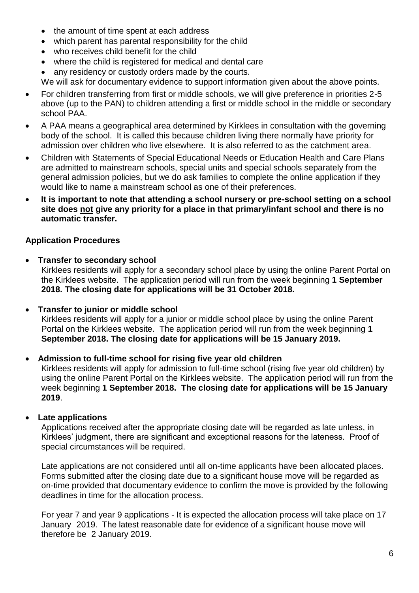- the amount of time spent at each address
- which parent has parental responsibility for the child
- who receives child benefit for the child
- where the child is registered for medical and dental care
- any residency or custody orders made by the courts.

We will ask for documentary evidence to support information given about the above points.

- For children transferring from first or middle schools, we will give preference in priorities 2-5 above (up to the PAN) to children attending a first or middle school in the middle or secondary school PAA.
- A PAA means a geographical area determined by Kirklees in consultation with the governing body of the school. It is called this because children living there normally have priority for admission over children who live elsewhere. It is also referred to as the catchment area.
- Children with Statements of Special Educational Needs or Education Health and Care Plans are admitted to mainstream schools, special units and special schools separately from the general admission policies, but we do ask families to complete the online application if they would like to name a mainstream school as one of their preferences.
- **It is important to note that attending a school nursery or pre-school setting on a school site does not give any priority for a place in that primary/infant school and there is no automatic transfer.**

# **Application Procedures**

 **Transfer to secondary school** Kirklees residents will apply for a secondary school place by using the online Parent Portal on the Kirklees website. The application period will run from the week beginning **1 September 2018. The closing date for applications will be 31 October 2018.**

#### **Transfer to junior or middle school**

Kirklees residents will apply for a junior or middle school place by using the online Parent Portal on the Kirklees website. The application period will run from the week beginning **1 September 2018. The closing date for applications will be 15 January 2019.**

#### **Admission to full-time school for rising five year old children**

Kirklees residents will apply for admission to full-time school (rising five year old children) by using the online Parent Portal on the Kirklees website. The application period will run from the week beginning **1 September 2018. The closing date for applications will be 15 January 2019**.

#### **Late applications**

Applications received after the appropriate closing date will be regarded as late unless, in Kirklees' judgment, there are significant and exceptional reasons for the lateness. Proof of special circumstances will be required.

Late applications are not considered until all on-time applicants have been allocated places. Forms submitted after the closing date due to a significant house move will be regarded as on-time provided that documentary evidence to confirm the move is provided by the following deadlines in time for the allocation process.

For year 7 and year 9 applications - It is expected the allocation process will take place on 17 January 2019. The latest reasonable date for evidence of a significant house move will therefore be 2 January 2019.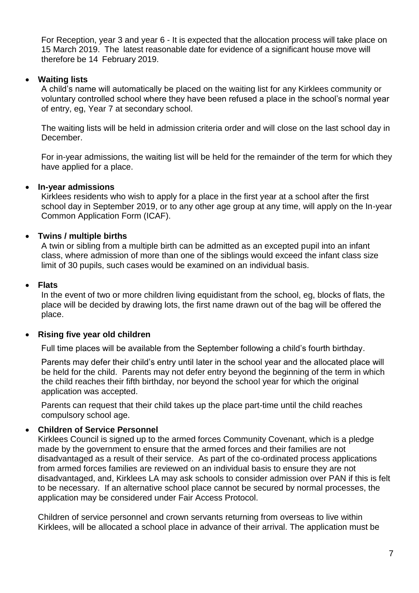For Reception, year 3 and year 6 - It is expected that the allocation process will take place on 15 March 2019. The latest reasonable date for evidence of a significant house move will therefore be 14 February 2019.

### **Waiting lists**

A child's name will automatically be placed on the waiting list for any Kirklees community or voluntary controlled school where they have been refused a place in the school's normal year of entry, eg, Year 7 at secondary school.

The waiting lists will be held in admission criteria order and will close on the last school day in December.

For in-year admissions, the waiting list will be held for the remainder of the term for which they have applied for a place.

#### **In-year admissions**

Kirklees residents who wish to apply for a place in the first year at a school after the first school day in September 2019, or to any other age group at any time, will apply on the In-year Common Application Form (ICAF).

### **Twins / multiple births**

A twin or sibling from a multiple birth can be admitted as an excepted pupil into an infant class, where admission of more than one of the siblings would exceed the infant class size limit of 30 pupils, such cases would be examined on an individual basis.

#### **Flats**

In the event of two or more children living equidistant from the school, eg, blocks of flats, the place will be decided by drawing lots, the first name drawn out of the bag will be offered the place.

#### **Rising five year old children**

Full time places will be available from the September following a child's fourth birthday.

Parents may defer their child's entry until later in the school year and the allocated place will be held for the child. Parents may not defer entry beyond the beginning of the term in which the child reaches their fifth birthday, nor beyond the school year for which the original application was accepted.

Parents can request that their child takes up the place part-time until the child reaches compulsory school age.

# **Children of Service Personnel**

Kirklees Council is signed up to the armed forces Community Covenant, which is a pledge made by the government to ensure that the armed forces and their families are not disadvantaged as a result of their service. As part of the co-ordinated process applications from armed forces families are reviewed on an individual basis to ensure they are not disadvantaged, and, Kirklees LA may ask schools to consider admission over PAN if this is felt to be necessary. If an alternative school place cannot be secured by normal processes, the application may be considered under Fair Access Protocol.

Children of service personnel and crown servants returning from overseas to live within Kirklees, will be allocated a school place in advance of their arrival. The application must be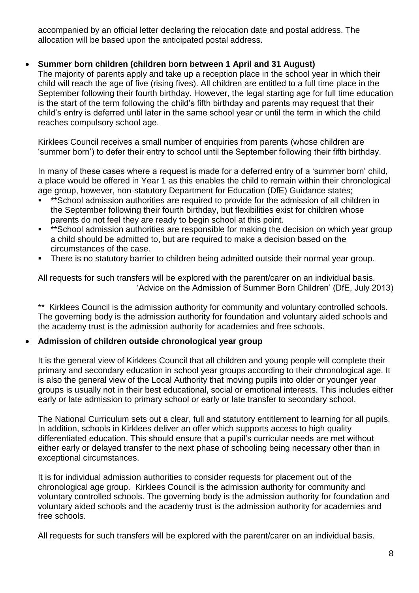accompanied by an official letter declaring the relocation date and postal address. The allocation will be based upon the anticipated postal address.

# **Summer born children (children born between 1 April and 31 August)**

The majority of parents apply and take up a reception place in the school year in which their child will reach the age of five (rising fives). All children are entitled to a full time place in the September following their fourth birthday. However, the legal starting age for full time education is the start of the term following the child's fifth birthday and parents may request that their child's entry is deferred until later in the same school year or until the term in which the child reaches compulsory school age.

Kirklees Council receives a small number of enquiries from parents (whose children are 'summer born') to defer their entry to school until the September following their fifth birthday.

In many of these cases where a request is made for a deferred entry of a 'summer born' child, a place would be offered in Year 1 as this enables the child to remain within their chronological age group, however, non-statutory Department for Education (DfE) Guidance states;

- \*\*School admission authorities are required to provide for the admission of all children in the September following their fourth birthday, but flexibilities exist for children whose parents do not feel they are ready to begin school at this point.
- \*\*School admission authorities are responsible for making the decision on which year group a child should be admitted to, but are required to make a decision based on the circumstances of the case.
- There is no statutory barrier to children being admitted outside their normal year group.

All requests for such transfers will be explored with the parent/carer on an individual basis. 'Advice on the Admission of Summer Born Children' (DfE, July 2013)

\*\* Kirklees Council is the admission authority for community and voluntary controlled schools. The governing body is the admission authority for foundation and voluntary aided schools and the academy trust is the admission authority for academies and free schools.

# **Admission of children outside chronological year group**

It is the general view of Kirklees Council that all children and young people will complete their primary and secondary education in school year groups according to their chronological age. It is also the general view of the Local Authority that moving pupils into older or younger year groups is usually not in their best educational, social or emotional interests. This includes either early or late admission to primary school or early or late transfer to secondary school.

The National Curriculum sets out a clear, full and statutory entitlement to learning for all pupils. In addition, schools in Kirklees deliver an offer which supports access to high quality differentiated education. This should ensure that a pupil's curricular needs are met without either early or delayed transfer to the next phase of schooling being necessary other than in exceptional circumstances.

It is for individual admission authorities to consider requests for placement out of the chronological age group. Kirklees Council is the admission authority for community and voluntary controlled schools. The governing body is the admission authority for foundation and voluntary aided schools and the academy trust is the admission authority for academies and free schools.

All requests for such transfers will be explored with the parent/carer on an individual basis.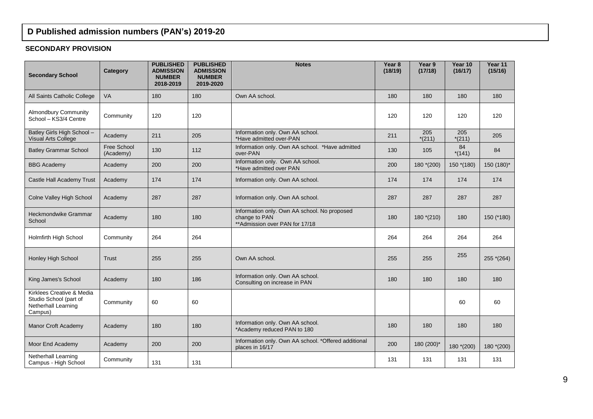# **D Published admission numbers (PAN's) 2019-20**

#### **SECONDARY PROVISION**

| <b>Secondary School</b>                                                               | Category                 | <b>PUBLISHED</b><br><b>ADMISSION</b><br><b>NUMBER</b><br>2018-2019 | <b>PUBLISHED</b><br><b>ADMISSION</b><br><b>NUMBER</b><br>2019-2020 | <b>Notes</b>                                                                                     | Year 8<br>(18/19) | Year 9<br>(17/18) | Year 10<br>(16/17) | Year 11<br>(15/16) |
|---------------------------------------------------------------------------------------|--------------------------|--------------------------------------------------------------------|--------------------------------------------------------------------|--------------------------------------------------------------------------------------------------|-------------------|-------------------|--------------------|--------------------|
| All Saints Catholic College                                                           | <b>VA</b>                | 180                                                                | 180                                                                | Own AA school.                                                                                   | 180               | 180               | 180                | 180                |
| <b>Almondbury Community</b><br>School - KS3/4 Centre                                  | Community                | 120                                                                | 120                                                                |                                                                                                  | 120               | 120               | 120                | 120                |
| Batley Girls High School -<br><b>Visual Arts College</b>                              | Academy                  | 211                                                                | 205                                                                | Information only. Own AA school.<br>*Have admitted over-PAN                                      | 211               | 205<br>$*(211)$   | 205<br>$*(211)$    | 205                |
| <b>Batley Grammar School</b>                                                          | Free School<br>(Academy) | 130                                                                | 112                                                                | Information only. Own AA school. *Have admitted<br>over-PAN                                      | 130               | 105               | 84<br>$*(141)$     | 84                 |
| <b>BBG</b> Academy                                                                    | Academy                  | 200                                                                | 200                                                                | Information only. Own AA school.<br>*Have admitted over PAN                                      | 200               | $180*(200)$       | $150*(180)$        | 150 (180)*         |
| Castle Hall Academy Trust                                                             | Academy                  | 174                                                                | 174                                                                | Information only. Own AA school.                                                                 | 174               | 174               | 174                | 174                |
| Colne Valley High School                                                              | Academy                  | 287                                                                | 287                                                                | Information only. Own AA school.                                                                 | 287               | 287               | 287                | 287                |
| Heckmondwike Grammar<br>School                                                        | Academy                  | 180                                                                | 180                                                                | Information only. Own AA school. No proposed<br>change to PAN<br>** Admission over PAN for 17/18 | 180               | $180*(210)$       | 180                | 150 (*180)         |
| Holmfirth High School                                                                 | Community                | 264                                                                | 264                                                                |                                                                                                  | 264               | 264               | 264                | 264                |
| Honley High School                                                                    | <b>Trust</b>             | 255                                                                | 255                                                                | Own AA school.                                                                                   | 255               | 255               | 255                | 255 *(264)         |
| King James's School                                                                   | Academy                  | 180                                                                | 186                                                                | Information only. Own AA school.<br>Consulting on increase in PAN                                | 180               | 180               | 180                | 180                |
| Kirklees Creative & Media<br>Studio School (part of<br>Netherhall Learning<br>Campus) | Community                | 60                                                                 | 60                                                                 |                                                                                                  |                   |                   | 60                 | 60                 |
| Manor Croft Academy                                                                   | Academy                  | 180                                                                | 180                                                                | Information only. Own AA school.<br>*Academy reduced PAN to 180                                  | 180               | 180               | 180                | 180                |
| Moor End Academy                                                                      | Academy                  | 200                                                                | 200                                                                | Information only. Own AA school. *Offered additional<br>places in 16/17                          | 200               | 180 (200)*        | $180*(200)$        | 180 *(200)         |
| <b>Netherhall Learning</b><br>Campus - High School                                    | Community                | 131                                                                | 131                                                                |                                                                                                  | 131               | 131               | 131                | 131                |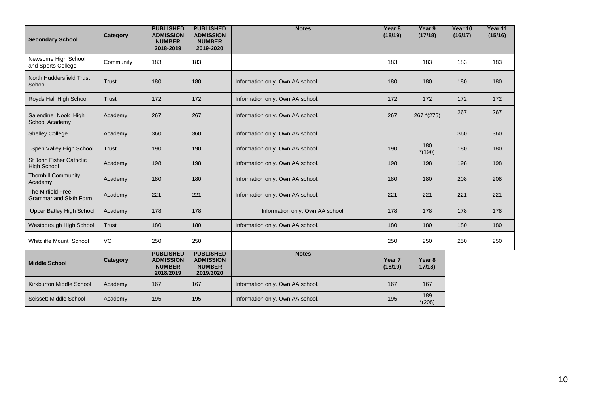| <b>Secondary School</b>                            | Category     | <b>PUBLISHED</b><br><b>ADMISSION</b><br><b>NUMBER</b><br>2018-2019 | <b>PUBLISHED</b><br><b>ADMISSION</b><br><b>NUMBER</b><br>2019-2020 | <b>Notes</b>                     | Year <sub>8</sub><br>(18/19) | Year 9<br>(17/18)          | Year 10<br>(16/17) | Year 11<br>(15/16) |
|----------------------------------------------------|--------------|--------------------------------------------------------------------|--------------------------------------------------------------------|----------------------------------|------------------------------|----------------------------|--------------------|--------------------|
| Newsome High School<br>and Sports College          | Community    | 183                                                                | 183                                                                |                                  | 183                          | 183                        | 183                | 183                |
| North Huddersfield Trust<br>School                 | <b>Trust</b> | 180                                                                | 180                                                                | Information only. Own AA school. | 180                          | 180                        | 180                | 180                |
| Royds Hall High School                             | <b>Trust</b> | 172                                                                | 172                                                                | Information only. Own AA school. | 172                          | 172                        | 172                | 172                |
| Salendine Nook High<br>School Academy              | Academy      | 267                                                                | 267                                                                | Information only. Own AA school. | 267                          | 267 * (275)                | 267                | 267                |
| <b>Shelley College</b>                             | Academy      | 360                                                                | 360                                                                | Information only. Own AA school. |                              |                            | 360                | 360                |
| Spen Valley High School                            | <b>Trust</b> | 190                                                                | 190                                                                | Information only. Own AA school. | 190                          | 180<br>$*(190)$            | 180                | 180                |
| St John Fisher Catholic<br><b>High School</b>      | Academy      | 198                                                                | 198                                                                | Information only. Own AA school. | 198                          | 198                        | 198                | 198                |
| <b>Thornhill Community</b><br>Academy              | Academy      | 180                                                                | 180                                                                | Information only. Own AA school. | 180                          | 180                        | 208                | 208                |
| The Mirfield Free<br><b>Grammar and Sixth Form</b> | Academy      | 221                                                                | 221                                                                | Information only. Own AA school. | 221                          | 221                        | 221                | 221                |
| Upper Batley High School                           | Academy      | 178                                                                | 178                                                                | Information only. Own AA school. | 178                          | 178                        | 178                | 178                |
| Westborough High School                            | <b>Trust</b> | 180                                                                | 180                                                                | Information only. Own AA school. | 180                          | 180                        | 180                | 180                |
| Whitcliffe Mount School                            | VC           | 250                                                                | 250                                                                |                                  | 250                          | 250                        | 250                | 250                |
| <b>Middle School</b>                               | Category     | <b>PUBLISHED</b><br><b>ADMISSION</b><br><b>NUMBER</b><br>2018/2019 | <b>PUBLISHED</b><br><b>ADMISSION</b><br><b>NUMBER</b><br>2019/2020 | <b>Notes</b>                     | Year 7<br>(18/19)            | Year <sub>8</sub><br>17/18 |                    |                    |
| Kirkburton Middle School                           | Academy      | 167                                                                | 167                                                                | Information only. Own AA school. | 167                          | 167                        |                    |                    |
| <b>Scissett Middle School</b>                      | Academy      | 195                                                                | 195                                                                | Information only. Own AA school. | 195                          | 189<br>$*(205)$            |                    |                    |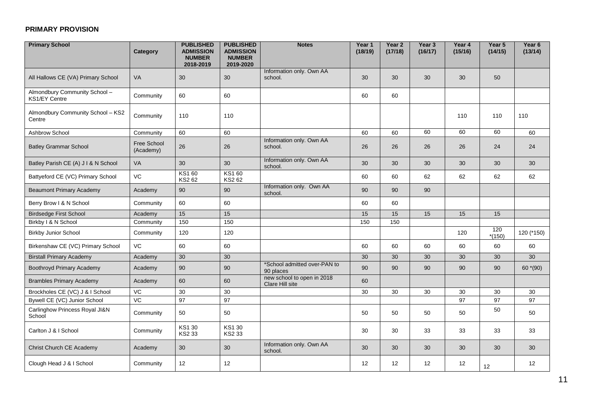#### **PRIMARY PROVISION**

| <b>Primary School</b>                          | Category                 | <b>PUBLISHED</b><br><b>ADMISSION</b><br><b>NUMBER</b><br>2018-2019 | <b>PUBLISHED</b><br><b>ADMISSION</b><br><b>NUMBER</b><br>2019-2020 | <b>Notes</b>                                  | Year '<br>(18/19) | Year <sub>2</sub><br>(17/18) | Year 3<br>(16/17) | Year 4<br>(15/16) | Year 5<br>(14/15) | Year 6<br>(13/14) |
|------------------------------------------------|--------------------------|--------------------------------------------------------------------|--------------------------------------------------------------------|-----------------------------------------------|-------------------|------------------------------|-------------------|-------------------|-------------------|-------------------|
| All Hallows CE (VA) Primary School             | VA                       | 30 <sup>°</sup>                                                    | 30                                                                 | Information only. Own AA<br>school.           | 30                | 30 <sup>°</sup>              | 30                | 30                | 50                |                   |
| Almondbury Community School -<br>KS1/EY Centre | Community                | 60                                                                 | 60                                                                 |                                               | 60                | 60                           |                   |                   |                   |                   |
| Almondbury Community School - KS2<br>Centre    | Community                | 110                                                                | 110                                                                |                                               |                   |                              |                   | 110               | 110               | 110               |
| Ashbrow School                                 | Community                | 60                                                                 | 60                                                                 |                                               | 60                | 60                           | 60                | 60                | 60                | 60                |
| <b>Batley Grammar School</b>                   | Free School<br>(Academy) | 26                                                                 | 26                                                                 | Information only. Own AA<br>school.           | 26                | 26                           | 26                | 26                | 24                | 24                |
| Batley Parish CE (A) J I & N School            | VA                       | 30 <sup>°</sup>                                                    | 30                                                                 | Information only. Own AA<br>school.           | 30                | 30 <sup>°</sup>              | 30                | 30 <sup>°</sup>   | 30                | 30                |
| Battyeford CE (VC) Primary School              | VC                       | KS1 60<br>KS2 62                                                   | KS1 60<br>KS2 62                                                   |                                               | 60                | 60                           | 62                | 62                | 62                | 62                |
| <b>Beaumont Primary Academy</b>                | Academy                  | 90                                                                 | 90                                                                 | Information only. Own AA<br>school.           | 90                | 90                           | 90                |                   |                   |                   |
| Berry Brow I & N School                        | Community                | 60                                                                 | 60                                                                 |                                               | 60                | 60                           |                   |                   |                   |                   |
| <b>Birdsedge First School</b>                  | Academy                  | 15                                                                 | 15                                                                 |                                               | 15                | 15                           | 15                | 15                | 15                |                   |
| Birkby I & N School                            | Community                | 150                                                                | 150                                                                |                                               | 150               | 150                          |                   |                   |                   |                   |
| <b>Birkby Junior School</b>                    | Community                | 120                                                                | 120                                                                |                                               |                   |                              |                   | 120               | 120<br>$*(150)$   | 120 (*150)        |
| Birkenshaw CE (VC) Primary School              | VC                       | 60                                                                 | 60                                                                 |                                               | 60                | 60                           | 60                | 60                | 60                | 60                |
| <b>Birstall Primary Academy</b>                | Academy                  | 30                                                                 | 30                                                                 |                                               | 30                | 30                           | 30                | 30                | 30                | 30                |
| <b>Boothroyd Primary Academy</b>               | Academy                  | 90                                                                 | 90                                                                 | *School admitted over-PAN to<br>90 places     | 90                | 90                           | 90                | 90                | 90                | 60 $*(90)$        |
| <b>Brambles Primary Academy</b>                | Academy                  | 60                                                                 | 60                                                                 | new school to open in 2018<br>Clare Hill site | 60                |                              |                   |                   |                   |                   |
| Brockholes CE (VC) J & I School                | VC                       | 30                                                                 | 30 <sup>°</sup>                                                    |                                               | 30                | 30                           | 30                | 30                | 30                | 30                |
| Bywell CE (VC) Junior School                   | VC                       | 97                                                                 | 97                                                                 |                                               |                   |                              |                   | 97                | 97                | 97                |
| Carlinghow Princess Royal JI&N<br>School       | Community                | 50                                                                 | 50                                                                 |                                               | 50                | 50                           | 50                | 50                | 50                | 50                |
| Carlton J & I School                           | Community                | KS1 30<br>KS2 33                                                   | KS1 30<br>KS2 33                                                   |                                               | 30                | 30                           | 33                | 33                | 33                | 33                |
| Christ Church CE Academy                       | Academy                  | 30 <sup>°</sup>                                                    | 30 <sup>°</sup>                                                    | Information only. Own AA<br>school.           | 30                | 30 <sup>°</sup>              | 30 <sup>°</sup>   | 30 <sup>°</sup>   | 30 <sup>°</sup>   | 30                |
| Clough Head J & I School                       | Community                | 12 <sub>2</sub>                                                    | 12                                                                 |                                               | 12                | 12                           | 12                | 12                | 12                | 12                |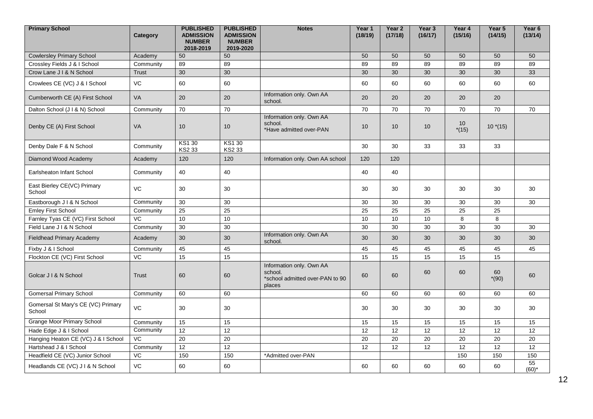| <b>Primary School</b>                        | Category     | <b>PUBLISHED</b><br><b>ADMISSION</b><br><b>NUMBER</b><br>2018-2019 | <b>PUBLISHED</b><br><b>ADMISSION</b><br><b>NUMBER</b><br>2019-2020 | <b>Notes</b>                                                                     | Year 1<br>(18/19) | Year <sub>2</sub><br>(17/18) | Year <sub>3</sub><br>(16/17) | Year 4<br>(15/16) | Year 5<br>(14/15) | Year <sub>6</sub><br>(13/14) |
|----------------------------------------------|--------------|--------------------------------------------------------------------|--------------------------------------------------------------------|----------------------------------------------------------------------------------|-------------------|------------------------------|------------------------------|-------------------|-------------------|------------------------------|
| <b>Cowlersley Primary School</b>             | Academy      | 50                                                                 | 50                                                                 |                                                                                  | 50                | 50                           | 50                           | 50                | 50                | 50                           |
| Crossley Fields J & I School                 | Community    | 89                                                                 | 89                                                                 |                                                                                  | 89                | 89                           | 89                           | 89                | 89                | 89                           |
| Crow Lane J I & N School                     | <b>Trust</b> | 30                                                                 | 30                                                                 |                                                                                  | 30                | 30                           | 30                           | 30                | 30                | 33                           |
| Crowlees CE (VC) J & I School                | VC           | 60                                                                 | 60                                                                 |                                                                                  | 60                | 60                           | 60                           | 60                | 60                | 60                           |
| Cumberworth CE (A) First School              | <b>VA</b>    | 20                                                                 | 20                                                                 | Information only. Own AA<br>school.                                              | 20                | 20                           | 20                           | 20                | 20                |                              |
| Dalton School (J I & N) School               | Community    | 70                                                                 | 70                                                                 |                                                                                  | 70                | 70                           | 70                           | 70                | 70                | 70                           |
| Denby CE (A) First School                    | VA           | 10                                                                 | 10                                                                 | Information only. Own AA<br>school.<br>*Have admitted over-PAN                   | 10                | 10 <sup>1</sup>              | 10                           | 10<br>$*(15)$     | $10*(15)$         |                              |
| Denby Dale F & N School                      | Community    | KS1 30<br>KS2 33                                                   | <b>KS130</b><br>KS2 33                                             |                                                                                  | 30                | 30                           | 33                           | 33                | 33                |                              |
| Diamond Wood Academy                         | Academy      | 120                                                                | 120                                                                | Information only. Own AA school                                                  | 120               | 120                          |                              |                   |                   |                              |
| Earlsheaton Infant School                    | Community    | 40                                                                 | 40                                                                 |                                                                                  | 40                | 40                           |                              |                   |                   |                              |
| East Bierley CE(VC) Primary<br>School        | VC           | 30                                                                 | 30                                                                 |                                                                                  | 30                | 30                           | 30                           | 30                | 30                | 30                           |
| Eastborough J I & N School                   | Community    | 30                                                                 | 30                                                                 |                                                                                  | 30                | 30                           | 30                           | 30                | 30                | 30                           |
| <b>Emley First School</b>                    | Community    | 25                                                                 | 25                                                                 |                                                                                  | 25                | 25                           | 25                           | 25                | 25                |                              |
| Farnley Tyas CE (VC) First School            | VC.          | 10                                                                 | 10                                                                 |                                                                                  | 10                | 10                           | 10                           | 8                 | 8                 |                              |
| Field Lane J I & N School                    | Community    | 30                                                                 | 30                                                                 |                                                                                  | 30                | 30                           | 30                           | 30                | 30                | 30                           |
| <b>Fieldhead Primary Academy</b>             | Academy      | 30                                                                 | 30                                                                 | Information only. Own AA<br>school.                                              | 30                | 30                           | 30                           | 30                | 30                | 30                           |
| Fixby J & I School                           | Community    | 45                                                                 | 45                                                                 |                                                                                  | 45                | 45                           | 45                           | 45                | 45                | 45                           |
| Flockton CE (VC) First School                | VC           | 15                                                                 | 15                                                                 |                                                                                  | 15                | 15                           | 15                           | 15                | 15                |                              |
| Golcar J I & N School                        | Trust        | 60                                                                 | 60                                                                 | Information only. Own AA<br>school.<br>*school admitted over-PAN to 90<br>places | 60                | 60                           | 60                           | 60                | 60<br>$*(90)$     | 60                           |
| <b>Gomersal Primary School</b>               | Community    | 60                                                                 | 60                                                                 |                                                                                  | 60                | 60                           | 60                           | 60                | 60                | 60                           |
| Gomersal St Mary's CE (VC) Primary<br>School | VC           | 30                                                                 | 30                                                                 |                                                                                  | 30                | 30                           | 30                           | 30                | 30                | 30                           |
| <b>Grange Moor Primary School</b>            | Community    | 15                                                                 | 15                                                                 |                                                                                  | 15                | 15                           | 15                           | 15                | 15                | 15                           |
| Hade Edge J & I School                       | Community    | 12                                                                 | 12                                                                 |                                                                                  | 12                | 12                           | 12                           | 12                | 12                | 12                           |
| Hanging Heaton CE (VC) J & I School          | VC.          | $\overline{20}$                                                    | $\overline{20}$                                                    |                                                                                  | $\overline{20}$   | $\overline{20}$              | $\overline{20}$              | 20                | $\overline{20}$   | $\overline{20}$              |
| Hartshead J & I School                       | Community    | 12                                                                 | 12                                                                 |                                                                                  | 12                | 12                           | 12                           | 12                | 12                | 12                           |
| Headfield CE (VC) Junior School              | VC.          | 150                                                                | 150                                                                | *Admitted over-PAN                                                               |                   |                              |                              | 150               | 150               | 150                          |
| Headlands CE (VC) J I & N School             | VC           | 60                                                                 | 60                                                                 |                                                                                  | 60                | 60                           | 60                           | 60                | 60                | 55<br>$(60)^*$               |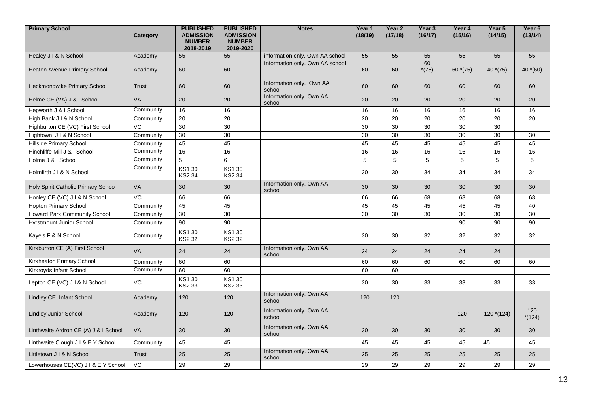| <b>Primary School</b>                 | Category  | <b>PUBLISHED</b><br><b>ADMISSION</b><br><b>NUMBER</b><br>2018-2019 | <b>PUBLISHED</b><br><b>ADMISSION</b><br><b>NUMBER</b><br>2019-2020 | <b>Notes</b>                        | Year 1<br>(18/19) | Year 2<br>(17/18) | Year 3<br>(16/17) | Year 4<br>(15/16) | Year 5<br>(14/15) | Year 6<br>(13/14) |
|---------------------------------------|-----------|--------------------------------------------------------------------|--------------------------------------------------------------------|-------------------------------------|-------------------|-------------------|-------------------|-------------------|-------------------|-------------------|
| Healey J I & N School                 | Academy   | 55                                                                 | 55                                                                 | information only. Own AA school     | 55                | 55                | 55                | 55                | 55                | 55                |
| Heaton Avenue Primary School          | Academy   | 60                                                                 | 60                                                                 | Information only. Own AA school     | 60                | 60                | 60<br>$*(75)$     | 60 $*(75)$        | 40 $*(75)$        | 40 $*(60)$        |
| Heckmondwike Primary School           | Trust     | 60                                                                 | 60                                                                 | Information only. Own AA<br>school. | 60                | 60                | 60                | 60                | 60                | 60                |
| Helme CE (VA) J & I School            | <b>VA</b> | 20                                                                 | 20                                                                 | Information only. Own AA<br>school. | 20                | 20                | 20                | 20                | 20                | 20                |
| Hepworth J & I School                 | Community | 16                                                                 | 16                                                                 |                                     | 16                | 16                | 16                | 16                | 16                | 16                |
| High Bank J I & N School              | Community | 20                                                                 | 20                                                                 |                                     | 20                | 20                | 20                | 20                | 20                | 20                |
| Highburton CE (VC) First School       | VC        | 30                                                                 | 30                                                                 |                                     | 30                | 30                | 30                | 30                | 30                |                   |
| Hightown J I & N School               | Community | 30                                                                 | 30                                                                 |                                     | 30                | 30                | 30                | 30                | 30                | 30                |
| <b>Hillside Primary School</b>        | Community | 45                                                                 | 45                                                                 |                                     | 45                | 45                | 45                | 45                | 45                | 45                |
| Hinchliffe Mill J & I School          | Community | 16                                                                 | 16                                                                 |                                     | 16                | 16                | 16                | 16                | 16                | 16                |
| Holme J & I School                    | Community | 5                                                                  | 6                                                                  |                                     | 5                 | 5                 | 5                 | 5                 | 5                 | $\sqrt{5}$        |
| Holmfirth J I & N School              | Community | <b>KS130</b><br>KS2 34                                             | KS1 30<br>KS2 34                                                   |                                     | 30                | 30                | 34                | 34                | 34                | 34                |
| Holy Spirit Catholic Primary School   | <b>VA</b> | 30                                                                 | 30                                                                 | Information only. Own AA<br>school. | 30                | 30                | 30                | 30                | 30                | 30                |
| Honley CE (VC) J I & N School         | VC        | 66                                                                 | 66                                                                 |                                     | 66                | 66                | 68                | 68                | 68                | 68                |
| <b>Hopton Primary School</b>          | Community | 45                                                                 | 45                                                                 |                                     | 45                | 45                | 45                | 45                | 45                | 40                |
| Howard Park Community School          | Community | 30                                                                 | 30                                                                 |                                     | 30                | 30                | 30                | 30                | 30                | $30\,$            |
| <b>Hyrstmount Junior School</b>       | Community | $\overline{90}$                                                    | 90                                                                 |                                     |                   |                   |                   | 90                | 90                | 90                |
| Kaye's F & N School                   | Community | KS1 30<br>KS2 32                                                   | KS1 30<br>KS2 32                                                   |                                     | 30                | 30                | 32                | 32                | 32                | 32                |
| Kirkburton CE (A) First School        | <b>VA</b> | 24                                                                 | 24                                                                 | Information only. Own AA<br>school. | 24                | 24                | 24                | 24                | 24                |                   |
| Kirkheaton Primary School             | Community | 60                                                                 | 60                                                                 |                                     | 60                | 60                | 60                | 60                | 60                | 60                |
| Kirkroyds Infant School               | Community | 60                                                                 | 60                                                                 |                                     | 60                | 60                |                   |                   |                   |                   |
| Lepton CE (VC) J I & N School         | <b>VC</b> | KS1 30<br><b>KS233</b>                                             | KS1 30<br><b>KS233</b>                                             |                                     | 30                | 30                | 33                | 33                | 33                | 33                |
| Lindley CE Infant School              | Academy   | 120                                                                | 120                                                                | Information only. Own AA<br>school. | 120               | 120               |                   |                   |                   |                   |
| <b>Lindley Junior School</b>          | Academy   | 120                                                                | 120                                                                | Information only. Own AA<br>school. |                   |                   |                   | 120               | $120*(124)$       | 120<br>$*(124)$   |
| Linthwaite Ardron CE (A) J & I School | VA        | 30                                                                 | 30                                                                 | Information only. Own AA<br>school. | 30                | 30                | 30                | 30                | 30                | 30                |
| Linthwaite Clough J I & E Y School    | Community | 45                                                                 | 45                                                                 |                                     | 45                | 45                | 45                | 45                | 45                | 45                |
| Littletown J I & N School             | Trust     | 25                                                                 | 25                                                                 | Information only. Own AA<br>school. | 25                | 25                | 25                | 25                | 25                | 25                |
| Lowerhouses CE(VC) J I & E Y School   | <b>VC</b> | 29                                                                 | 29                                                                 |                                     | 29                | 29                | 29                | 29                | 29                | 29                |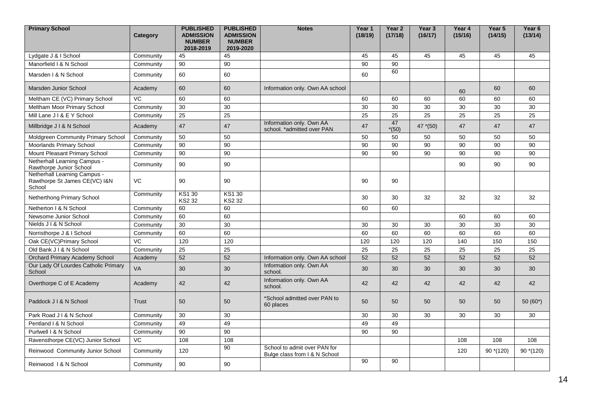| <b>Primary School</b>                                                   | Category     | <b>PUBLISHED</b><br><b>ADMISSION</b><br><b>NUMBER</b><br>2018-2019 | <b>PUBLISHED</b><br><b>ADMISSION</b><br><b>NUMBER</b><br>2019-2020 | <b>Notes</b>                                                  | Year 1<br>(18/19) | Year <sub>2</sub><br>(17/18) | Year 3<br>(16/17) | Year 4<br>(15/16) | Year 5<br>(14/15) | Year <sub>6</sub><br>(13/14) |
|-------------------------------------------------------------------------|--------------|--------------------------------------------------------------------|--------------------------------------------------------------------|---------------------------------------------------------------|-------------------|------------------------------|-------------------|-------------------|-------------------|------------------------------|
| Lydgate J & I School                                                    | Community    | 45                                                                 | 45                                                                 |                                                               | 45                | 45                           | 45                | 45                | 45                | 45                           |
| Manorfield I & N School                                                 | Community    | 90                                                                 | 90                                                                 |                                                               | 90                | 90                           |                   |                   |                   |                              |
| Marsden   & N School                                                    | Community    | 60                                                                 | 60                                                                 |                                                               | 60                | 60                           |                   |                   |                   |                              |
| <b>Marsden Junior School</b>                                            | Academy      | 60                                                                 | 60                                                                 | Information only. Own AA school                               |                   |                              |                   | 60                | 60                | 60                           |
| Meltham CE (VC) Primary School                                          | VC           | 60                                                                 | 60                                                                 |                                                               | 60                | 60                           | 60                | 60                | 60                | 60                           |
| Meltham Moor Primary School                                             | Community    | 30                                                                 | 30                                                                 |                                                               | 30                | 30                           | 30                | 30                | 30                | 30                           |
| Mill Lane J I & E Y School                                              | Community    | 25                                                                 | 25                                                                 |                                                               | 25                | 25                           | 25                | 25                | 25                | 25                           |
| Millbridge J I & N School                                               | Academy      | 47                                                                 | 47                                                                 | Information only. Own AA<br>school. *admitted over PAN        | 47                | 47<br>$*(50)$                | 47 $*(50)$        | 47                | 47                | 47                           |
| Moldgreen Community Primary School                                      | Community    | 50                                                                 | 50                                                                 |                                                               | 50                | 50                           | 50                | 50                | 50                | 50                           |
| Moorlands Primary School                                                | Community    | 90                                                                 | 90                                                                 |                                                               | 90                | 90                           | 90                | 90                | 90                | 90                           |
| Mount Pleasant Primary School                                           | Community    | 90                                                                 | $\overline{90}$                                                    |                                                               | 90                | 90                           | 90                | 90                | 90                | 90                           |
| Netherhall Learning Campus -<br>Rawthorpe Junior School                 | Community    | 90                                                                 | 90                                                                 |                                                               |                   |                              |                   | 90                | 90                | 90                           |
| Netherhall Learning Campus -<br>Rawthorpe St James CE(VC) I&N<br>School | VC.          | 90                                                                 | 90                                                                 |                                                               | 90                | 90                           |                   |                   |                   |                              |
| Netherthong Primary School                                              | Community    | KS1 30<br><b>KS2 32</b>                                            | <b>KS130</b><br><b>KS2 32</b>                                      |                                                               | 30                | 30                           | 32                | 32                | 32                | 32                           |
| Netherton I & N School                                                  | Community    | 60                                                                 | 60                                                                 |                                                               | 60                | 60                           |                   |                   |                   |                              |
| Newsome Junior School                                                   | Community    | 60                                                                 | 60                                                                 |                                                               |                   |                              |                   | 60                | 60                | 60                           |
| Nields J I & N School                                                   | Community    | 30                                                                 | 30                                                                 |                                                               | 30                | 30                           | 30                | 30                | 30                | 30                           |
| Norristhorpe J & I School                                               | Community    | 60                                                                 | 60                                                                 |                                                               | 60                | 60                           | 60                | 60                | 60                | 60                           |
| Oak CE(VC)Primary School                                                | VC           | 120                                                                | 120                                                                |                                                               | 120               | 120                          | 120               | 140               | 150               | 150                          |
| Old Bank J I & N School                                                 | Community    | 25                                                                 | 25                                                                 |                                                               | 25                | 25                           | 25                | 25                | 25                | 25                           |
| Orchard Primary Academy School                                          | Academy      | 52                                                                 | 52                                                                 | Information only. Own AA school                               | 52                | 52                           | 52                | 52                | 52                | 52                           |
| Our Lady Of Lourdes Catholic Primary<br>School                          | <b>VA</b>    | 30                                                                 | 30                                                                 | Information only. Own AA<br>school.                           | 30                | 30                           | 30                | 30                | 30                | 30                           |
| Overthorpe C of E Academy                                               | Academy      | 42                                                                 | 42                                                                 | Information only. Own AA<br>school.                           | 42                | 42                           | 42                | 42                | 42                | 42                           |
| Paddock J I & N School                                                  | <b>Trust</b> | 50                                                                 | 50                                                                 | *School admitted over PAN to<br>60 places                     | 50                | 50                           | 50                | 50                | 50                | $50(60^*)$                   |
| Park Road J I & N School                                                | Community    | 30                                                                 | 30                                                                 |                                                               | 30                | 30                           | 30                | 30                | 30                | 30                           |
| Pentland I & N School                                                   | Community    | 49                                                                 | 49                                                                 |                                                               | 49                | 49                           |                   |                   |                   |                              |
| Purlwell I & N School                                                   | Community    | $\overline{90}$                                                    | 90                                                                 |                                                               | 90                | 90                           |                   |                   |                   |                              |
| Ravensthorpe CE(VC) Junior School                                       | VC           | 108                                                                | 108                                                                |                                                               |                   |                              |                   | 108               | 108               | 108                          |
| Reinwood Community Junior School                                        | Community    | 120                                                                | 90                                                                 | School to admit over PAN for<br>Bulge class from I & N School |                   |                              |                   | 120               | $90*(120)$        | $90*(120)$                   |
| Reinwood 1 & N School                                                   | Community    | 90                                                                 | 90                                                                 |                                                               | 90                | $\overline{90}$              |                   |                   |                   |                              |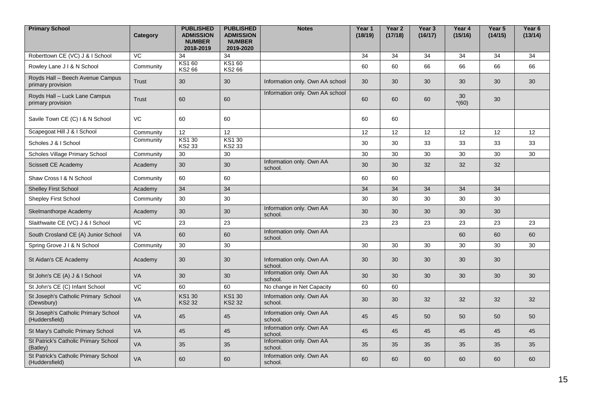| <b>Primary School</b>                                  | Category  | <b>PUBLISHED</b><br><b>ADMISSION</b><br><b>NUMBER</b><br>2018-2019 | <b>PUBLISHED</b><br><b>ADMISSION</b><br><b>NUMBER</b><br>2019-2020 | <b>Notes</b>                        | Year 1<br>(18/19) | Year <sub>2</sub><br>(17/18) | Year <sub>3</sub><br>(16/17) | Year 4<br>(15/16) | Year 5<br>(14/15) | Year 6<br>(13/14) |
|--------------------------------------------------------|-----------|--------------------------------------------------------------------|--------------------------------------------------------------------|-------------------------------------|-------------------|------------------------------|------------------------------|-------------------|-------------------|-------------------|
| Roberttown CE (VC) J & I School                        | VC.       | 34                                                                 | 34                                                                 |                                     | 34                | 34                           | 34                           | 34                | 34                | 34                |
| Rowley Lane J I & N School                             | Community | KS1 60<br>KS2 66                                                   | KS1 60<br>KS2 66                                                   |                                     | 60                | 60                           | 66                           | 66                | 66                | 66                |
| Royds Hall - Beech Avenue Campus<br>primary provision  | Trust     | 30                                                                 | 30                                                                 | Information only. Own AA school     | 30                | 30                           | 30                           | 30                | 30                | 30                |
| Royds Hall - Luck Lane Campus<br>primary provision     | Trust     | 60                                                                 | 60                                                                 | Information only. Own AA school     | 60                | 60                           | 60                           | 30<br>$*(60)$     | 30                |                   |
| Savile Town CE (C) I & N School                        | VC        | 60                                                                 | 60                                                                 |                                     | 60                | 60                           |                              |                   |                   |                   |
| Scapegoat Hill J & I School                            | Community | 12                                                                 | 12                                                                 |                                     | 12                | 12                           | 12                           | 12                | 12                | 12                |
| Scholes J & I School                                   | Community | <b>KS130</b><br>KS2 33                                             | KS1 30<br>KS2 33                                                   |                                     | 30                | 30                           | 33                           | 33                | 33                | 33                |
| Scholes Village Primary School                         | Community | 30                                                                 | 30                                                                 |                                     | 30                | 30                           | 30                           | 30                | 30                | 30                |
| Scissett CE Academy                                    | Academy   | 30                                                                 | 30                                                                 | Information only. Own AA<br>school. | 30                | 30                           | 32                           | 32                | 32                |                   |
| Shaw Cross   & N School                                | Community | 60                                                                 | 60                                                                 |                                     | 60                | 60                           |                              |                   |                   |                   |
| <b>Shelley First School</b>                            | Academy   | 34                                                                 | 34                                                                 |                                     | 34                | 34                           | 34                           | 34                | 34                |                   |
| Shepley First School                                   | Community | 30                                                                 | 30                                                                 |                                     | 30                | 30                           | 30                           | 30                | 30                |                   |
| Skelmanthorpe Academy                                  | Academy   | 30                                                                 | 30                                                                 | Information only. Own AA<br>school. | 30                | 30                           | 30                           | 30                | 30                |                   |
| Slaithwaite CE (VC) J & I School                       | VC.       | 23                                                                 | 23                                                                 |                                     | 23                | 23                           | 23                           | 23                | 23                | 23                |
| South Crosland CE (A) Junior School                    | <b>VA</b> | 60                                                                 | 60                                                                 | Information only. Own AA<br>school. |                   |                              |                              | 60                | 60                | 60                |
| Spring Grove J I & N School                            | Community | 30                                                                 | 30                                                                 |                                     | 30                | 30                           | 30                           | 30                | 30                | 30                |
| St Aidan's CE Academy                                  | Academy   | 30                                                                 | 30                                                                 | Information only. Own AA<br>school. | 30                | 30                           | 30                           | 30                | 30                |                   |
| St John's CE (A) J & I School                          | <b>VA</b> | 30                                                                 | 30                                                                 | Information only. Own AA<br>school. | 30                | 30                           | 30                           | 30                | 30                | 30                |
| St John's CE (C) Infant School                         | VC        | 60                                                                 | 60                                                                 | No change in Net Capacity           | 60                | 60                           |                              |                   |                   |                   |
| St Joseph's Catholic Primary School<br>(Dewsbury)      | VA        | <b>KS130</b><br><b>KS2 32</b>                                      | <b>KS130</b><br><b>KS2 32</b>                                      | Information only. Own AA<br>school. | 30                | 30                           | 32                           | 32                | 32                | 32                |
| St Joseph's Catholic Primary School<br>(Huddersfield)  | <b>VA</b> | 45                                                                 | 45                                                                 | Information only. Own AA<br>school. | 45                | 45                           | 50                           | 50                | 50                | 50                |
| St Mary's Catholic Primary School                      | VA        | 45                                                                 | 45                                                                 | Information only. Own AA<br>school. | 45                | 45                           | 45                           | 45                | 45                | 45                |
| St Patrick's Catholic Primary School<br>(Batley)       | VA        | 35                                                                 | 35                                                                 | Information only. Own AA<br>school. | 35                | 35                           | 35                           | 35                | 35                | 35                |
| St Patrick's Catholic Primary School<br>(Huddersfield) | <b>VA</b> | 60                                                                 | 60                                                                 | Information only. Own AA<br>school. | 60                | 60                           | 60                           | 60                | 60                | 60                |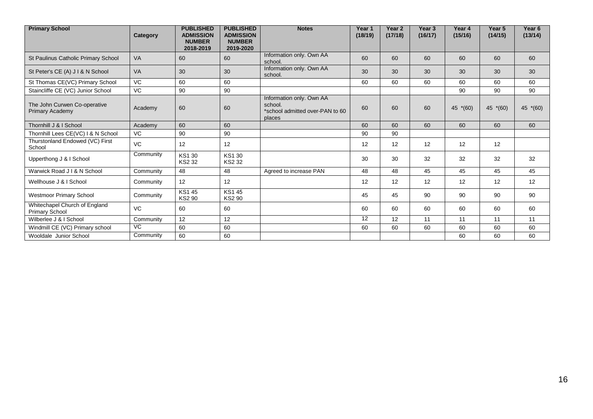| <b>Primary School</b>                                  | Category  | <b>PUBLISHED</b><br><b>ADMISSION</b><br><b>NUMBER</b><br>2018-2019 | <b>PUBLISHED</b><br><b>ADMISSION</b><br><b>NUMBER</b><br>2019-2020 | <b>Notes</b>                                                                     | Year 1<br>(18/19) | Year <sub>2</sub><br>(17/18) | Year <sub>3</sub><br>(16/17) | Year <sub>4</sub><br>(15/16) | Year <sub>5</sub><br>(14/15) | Year <sub>6</sub><br>(13/14) |
|--------------------------------------------------------|-----------|--------------------------------------------------------------------|--------------------------------------------------------------------|----------------------------------------------------------------------------------|-------------------|------------------------------|------------------------------|------------------------------|------------------------------|------------------------------|
| St Paulinus Catholic Primary School                    | <b>VA</b> | 60                                                                 | 60                                                                 | Information only. Own AA<br>school.                                              | 60                | 60                           | 60                           | 60                           | 60                           | 60                           |
| St Peter's CE (A) J I & N School                       | <b>VA</b> | 30                                                                 | 30                                                                 | Information only. Own AA<br>school.                                              | 30                | 30                           | 30                           | 30                           | 30                           | 30                           |
| St Thomas CE(VC) Primary School                        | <b>VC</b> | 60                                                                 | 60                                                                 |                                                                                  | 60                | 60                           | 60                           | 60                           | 60                           | 60                           |
| Staincliffe CE (VC) Junior School                      | VC        | 90                                                                 | 90                                                                 |                                                                                  |                   |                              |                              | 90                           | 90                           | 90                           |
| The John Curwen Co-operative<br><b>Primary Academy</b> | Academy   | 60                                                                 | 60                                                                 | Information only. Own AA<br>school.<br>*school admitted over-PAN to 60<br>places | 60                | 60                           | 60                           | 45<br>$*(60)$                | 45 *(60)                     | 45 $*(60)$                   |
| Thornhill J & I School                                 | Academy   | 60                                                                 | 60                                                                 |                                                                                  | 60                | 60                           | 60                           | 60                           | 60                           | 60                           |
| Thornhill Lees CE(VC) I & N School                     | <b>VC</b> | 90                                                                 | 90                                                                 |                                                                                  | 90                | 90                           |                              |                              |                              |                              |
| Thurstonland Endowed (VC) First<br>School              | VC        | 12                                                                 | 12                                                                 |                                                                                  | 12                | 12                           | 12                           | 12                           | $12 \overline{ }$            |                              |
| Upperthong J & I School                                | Community | KS1 30<br>KS2 32                                                   | <b>KS130</b><br>KS2 32                                             |                                                                                  | 30                | 30                           | 32                           | 32                           | 32                           | 32                           |
| Warwick Road J I & N School                            | Community | 48                                                                 | 48                                                                 | Agreed to increase PAN                                                           | 48                | 48                           | 45                           | 45                           | 45                           | 45                           |
| Wellhouse J & I School                                 | Community | 12                                                                 | 12                                                                 |                                                                                  | 12                | 12                           | 12                           | 12                           | 12                           | 12                           |
| <b>Westmoor Primary School</b>                         | Community | <b>KS145</b><br><b>KS2 90</b>                                      | <b>KS145</b><br><b>KS2 90</b>                                      |                                                                                  | 45                | 45                           | 90                           | 90                           | 90                           | 90                           |
| Whitechapel Church of England<br><b>Primary School</b> | VC        | 60                                                                 | 60                                                                 |                                                                                  | 60                | 60                           | 60                           | 60                           | 60                           | 60                           |
| Wilberlee J & I School                                 | Community | 12                                                                 | 12                                                                 |                                                                                  | 12                | 12                           | 11                           | 11                           | 11                           | 11                           |
| Windmill CE (VC) Primary school                        | VC        | 60                                                                 | 60                                                                 |                                                                                  | 60                | 60                           | 60                           | 60                           | 60                           | 60                           |
| Wooldale Junior School                                 | Community | 60                                                                 | 60                                                                 |                                                                                  |                   |                              |                              | 60                           | 60                           | 60                           |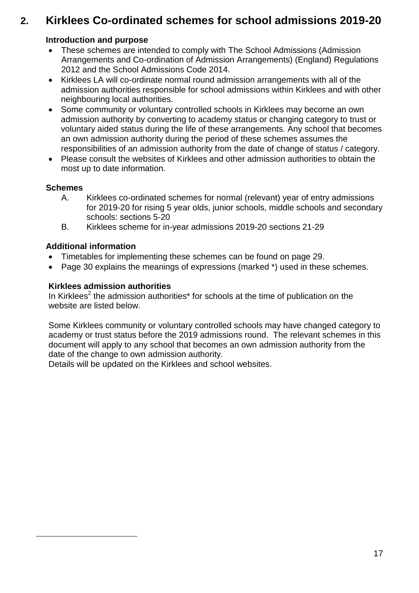# **2. Kirklees Co-ordinated schemes for school admissions 2019-20**

# **Introduction and purpose**

- These schemes are intended to comply with The School Admissions (Admission Arrangements and Co-ordination of Admission Arrangements) (England) Regulations 2012 and the School Admissions Code 2014.
- Kirklees LA will co-ordinate normal round admission arrangements with all of the admission authorities responsible for school admissions within Kirklees and with other neighbouring local authorities.
- Some community or voluntary controlled schools in Kirklees may become an own admission authority by converting to academy status or changing category to trust or voluntary aided status during the life of these arrangements. Any school that becomes an own admission authority during the period of these schemes assumes the responsibilities of an admission authority from the date of change of status / category.
- Please consult the websites of Kirklees and other admission authorities to obtain the most up to date information.

#### **Schemes**

1

- A. Kirklees co-ordinated schemes for normal (relevant) year of entry admissions for 2019-20 for rising 5 year olds, junior schools, middle schools and secondary schools: sections 5-20
- B. Kirklees scheme for in-year admissions 2019-20 sections 21-29

# **Additional information**

- Timetables for implementing these schemes can be found on page 29.
- Page 30 explains the meanings of expressions (marked \*) used in these schemes.

### **Kirklees admission authorities**

In Kirklees<sup>2</sup> the admission authorities\* for schools at the time of publication on the website are listed below.

Some Kirklees community or voluntary controlled schools may have changed category to academy or trust status before the 2019 admissions round. The relevant schemes in this document will apply to any school that becomes an own admission authority from the date of the change to own admission authority.

Details will be updated on the Kirklees and school websites.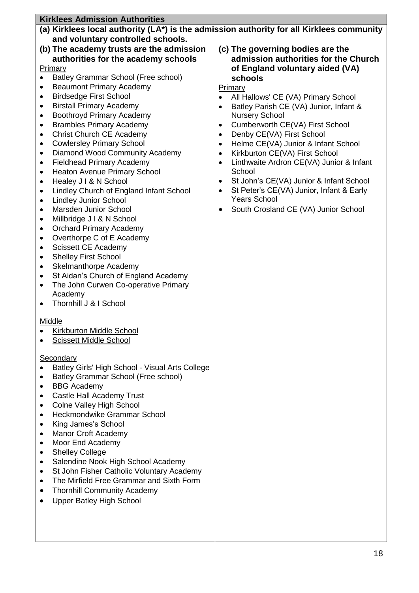|                        | <b>Kirklees Admission Authorities</b>                                   |                                                                                          |
|------------------------|-------------------------------------------------------------------------|------------------------------------------------------------------------------------------|
|                        |                                                                         | (a) Kirklees local authority (LA*) is the admission authority for all Kirklees community |
|                        | and voluntary controlled schools.                                       |                                                                                          |
|                        | (b) The academy trusts are the admission                                | (c) The governing bodies are the                                                         |
|                        | authorities for the academy schools                                     | admission authorities for the Church                                                     |
|                        | <b>Primary</b>                                                          | of England voluntary aided (VA)                                                          |
| $\bullet$<br>٠         | Batley Grammar School (Free school)<br><b>Beaumont Primary Academy</b>  | schools                                                                                  |
| ٠                      | <b>Birdsedge First School</b>                                           | Primary<br>All Hallows' CE (VA) Primary School<br>$\bullet$                              |
| ٠                      | <b>Birstall Primary Academy</b>                                         | Batley Parish CE (VA) Junior, Infant &<br>$\bullet$                                      |
| $\bullet$              | Boothroyd Primary Academy                                               | <b>Nursery School</b>                                                                    |
|                        | <b>Brambles Primary Academy</b>                                         | Cumberworth CE(VA) First School<br>٠                                                     |
| ٠                      | Christ Church CE Academy                                                | Denby CE(VA) First School<br>$\bullet$                                                   |
| ٠                      | <b>Cowlersley Primary School</b>                                        | Helme CE(VA) Junior & Infant School<br>$\bullet$                                         |
| $\bullet$              | Diamond Wood Community Academy                                          | Kirkburton CE(VA) First School<br>$\bullet$                                              |
|                        | <b>Fieldhead Primary Academy</b>                                        | Linthwaite Ardron CE(VA) Junior & Infant<br>$\bullet$                                    |
| ٠                      | <b>Heaton Avenue Primary School</b>                                     | School                                                                                   |
| ٠                      | Healey J I & N School                                                   | St John's CE(VA) Junior & Infant School<br>٠                                             |
| $\bullet$<br>$\bullet$ | Lindley Church of England Infant School<br><b>Lindley Junior School</b> | St Peter's CE(VA) Junior, Infant & Early<br>٠<br><b>Years School</b>                     |
| ٠                      | Marsden Junior School                                                   | South Crosland CE (VA) Junior School                                                     |
| ٠                      | Millbridge J I & N School                                               |                                                                                          |
| ٠                      | <b>Orchard Primary Academy</b>                                          |                                                                                          |
| ٠                      | Overthorpe C of E Academy                                               |                                                                                          |
|                        | Scissett CE Academy                                                     |                                                                                          |
| ٠                      | <b>Shelley First School</b>                                             |                                                                                          |
| ٠                      | <b>Skelmanthorpe Academy</b>                                            |                                                                                          |
| ٠                      | St Aidan's Church of England Academy                                    |                                                                                          |
|                        | The John Curwen Co-operative Primary                                    |                                                                                          |
|                        | Academy<br>Thornhill J & I School                                       |                                                                                          |
|                        |                                                                         |                                                                                          |
|                        | <b>Middle</b>                                                           |                                                                                          |
|                        | Kirkburton Middle School                                                |                                                                                          |
|                        | <b>Scissett Middle School</b>                                           |                                                                                          |
|                        |                                                                         |                                                                                          |
|                        | <b>Secondary</b>                                                        |                                                                                          |
|                        | Batley Girls' High School - Visual Arts College                         |                                                                                          |
|                        | Batley Grammar School (Free school)                                     |                                                                                          |
| ٠                      | <b>BBG Academy</b><br>Castle Hall Academy Trust                         |                                                                                          |
|                        | Colne Valley High School                                                |                                                                                          |
| ٠                      | Heckmondwike Grammar School                                             |                                                                                          |
|                        | King James's School                                                     |                                                                                          |
| ٠                      | Manor Croft Academy                                                     |                                                                                          |
|                        | Moor End Academy                                                        |                                                                                          |
|                        | <b>Shelley College</b>                                                  |                                                                                          |
|                        | Salendine Nook High School Academy                                      |                                                                                          |
|                        | St John Fisher Catholic Voluntary Academy                               |                                                                                          |
| $\bullet$              | The Mirfield Free Grammar and Sixth Form                                |                                                                                          |
|                        | <b>Thornhill Community Academy</b>                                      |                                                                                          |
|                        | <b>Upper Batley High School</b>                                         |                                                                                          |
|                        |                                                                         |                                                                                          |
|                        |                                                                         |                                                                                          |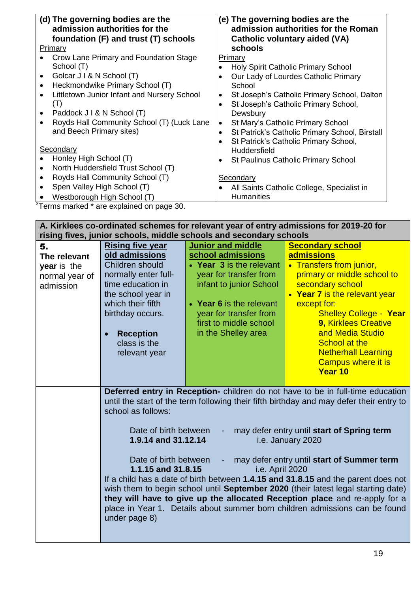| (d) The governing bodies are the<br>admission authorities for the<br>foundation (F) and trust (T) schools                                                                                                                                                                                                                                | (e) The governing bodies are the<br>admission authorities for the Roman<br><b>Catholic voluntary aided (VA)</b>                                                                                                                                                         |
|------------------------------------------------------------------------------------------------------------------------------------------------------------------------------------------------------------------------------------------------------------------------------------------------------------------------------------------|-------------------------------------------------------------------------------------------------------------------------------------------------------------------------------------------------------------------------------------------------------------------------|
| Primary                                                                                                                                                                                                                                                                                                                                  | schools                                                                                                                                                                                                                                                                 |
| Crow Lane Primary and Foundation Stage<br>School (T)<br>Golcar J I & N School (T)<br>$\bullet$<br>Heckmondwike Primary School (T)<br>$\bullet$<br>Littletown Junior Infant and Nursery School<br>$\bullet$<br>( I )<br>Paddock J I & N School (T)<br>$\bullet$<br>Royds Hall Community School (T) (Luck Lane<br>and Beech Primary sites) | Primary<br>Holy Spirit Catholic Primary School<br>Our Lady of Lourdes Catholic Primary<br>School<br>St Joseph's Catholic Primary School, Dalton<br>٠<br>St Joseph's Catholic Primary School,<br>$\bullet$<br>Dewsbury<br>St Mary's Catholic Primary School<br>$\bullet$ |
|                                                                                                                                                                                                                                                                                                                                          | St Patrick's Catholic Primary School, Birstall<br>$\bullet$<br>St Patrick's Catholic Primary School,<br>$\bullet$                                                                                                                                                       |
| Secondary                                                                                                                                                                                                                                                                                                                                | Huddersfield                                                                                                                                                                                                                                                            |
| Honley High School (T)<br>North Huddersfield Trust School (T)<br>$\bullet$                                                                                                                                                                                                                                                               | <b>St Paulinus Catholic Primary School</b>                                                                                                                                                                                                                              |
| Royds Hall Community School (T)                                                                                                                                                                                                                                                                                                          | Secondary                                                                                                                                                                                                                                                               |
| Spen Valley High School (T)                                                                                                                                                                                                                                                                                                              | All Saints Catholic College, Specialist in                                                                                                                                                                                                                              |
| Westborough High School (T)                                                                                                                                                                                                                                                                                                              | <b>Humanities</b>                                                                                                                                                                                                                                                       |

<sup>3</sup>Terms marked \* are explained on page 30.

**A. Kirklees co-ordinated schemes for relevant year of entry admissions for 2019-20 for rising fives, junior schools, middle schools and secondary schools** 5. **The relevant year** is the normal year of admission **Rising five year old admissions**  Children should normally enter fulltime education in the school year in which their fifth birthday occurs. **Reception** class is the relevant year **Junior and middle school admissions Year 3** is the relevant year for transfer from infant to junior School **Year 6** is the relevant year for transfer from first to middle school in the Shelley area **Secondary school admissions**  • Transfers from junior, primary or middle school to secondary school **Year 7** is the relevant year except for: Shelley College - **Year 9,** Kirklees Creative and Media Studio School at the Netherhall Learning Campus where it is **Year 10 Deferred entry in Reception-** children do not have to be in full-time education until the start of the term following their fifth birthday and may defer their entry to school as follows: Date of birth between - may defer entry until **start of Spring term 1.9.14 and 31.12.14** i.e. January 2020 Date of birth between - may defer entry until **start of Summer term 1.1.15 and 31.8.15** i.e. April 2020 If a child has a date of birth between **1.4.15 and 31.8.15** and the parent does not wish them to begin school until **September 2020** (their latest legal starting date)

**they will have to give up the allocated Reception place** and re-apply for a place in Year 1. Details about summer born children admissions can be found under page 8)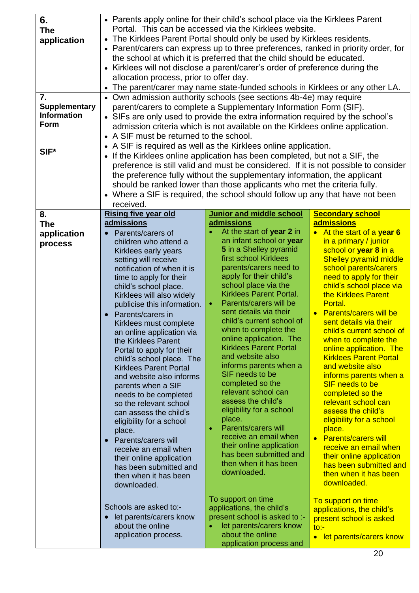| 6.<br><b>The</b><br>application<br>7.<br><b>Supplementary</b><br><b>Information</b><br>Form<br>SIF* | • Parents apply online for their child's school place via the Kirklees Parent<br>Portal. This can be accessed via the Kirklees website.<br>• The Kirklees Parent Portal should only be used by Kirklees residents.<br>• Parent/carers can express up to three preferences, ranked in priority order, for<br>the school at which it is preferred that the child should be educated.<br>• Kirklees will not disclose a parent/carer's order of preference during the<br>allocation process, prior to offer day.<br>• The parent/carer may name state-funded schools in Kirklees or any other LA.<br>• Own admission authority schools (see sections 4b-4e) may require<br>parent/carers to complete a Supplementary Information Form (SIF).<br>• SIFs are only used to provide the extra information required by the school's<br>admission criteria which is not available on the Kirklees online application.<br>• A SIF must be returned to the school.<br>• A SIF is required as well as the Kirklees online application.<br>• If the Kirklees online application has been completed, but not a SIF, the<br>preference is still valid and must be considered. If it is not possible to consider<br>the preference fully without the supplementary information, the applicant<br>should be ranked lower than those applicants who met the criteria fully.<br>• Where a SIF is required, the school should follow up any that have not been<br>received. |                                                                                                                                                                                                                                                                                                                                                                                                                                                                                                                                                                                                                                                                                                                    |                                                                                                                                                                                                                                                                                                                                                                                                                                                                                                                                                                                                                                                                                                                                   |  |  |  |  |  |
|-----------------------------------------------------------------------------------------------------|---------------------------------------------------------------------------------------------------------------------------------------------------------------------------------------------------------------------------------------------------------------------------------------------------------------------------------------------------------------------------------------------------------------------------------------------------------------------------------------------------------------------------------------------------------------------------------------------------------------------------------------------------------------------------------------------------------------------------------------------------------------------------------------------------------------------------------------------------------------------------------------------------------------------------------------------------------------------------------------------------------------------------------------------------------------------------------------------------------------------------------------------------------------------------------------------------------------------------------------------------------------------------------------------------------------------------------------------------------------------------------------------------------------------------------------------------------|--------------------------------------------------------------------------------------------------------------------------------------------------------------------------------------------------------------------------------------------------------------------------------------------------------------------------------------------------------------------------------------------------------------------------------------------------------------------------------------------------------------------------------------------------------------------------------------------------------------------------------------------------------------------------------------------------------------------|-----------------------------------------------------------------------------------------------------------------------------------------------------------------------------------------------------------------------------------------------------------------------------------------------------------------------------------------------------------------------------------------------------------------------------------------------------------------------------------------------------------------------------------------------------------------------------------------------------------------------------------------------------------------------------------------------------------------------------------|--|--|--|--|--|
| 8.                                                                                                  | <b>Rising five year old</b>                                                                                                                                                                                                                                                                                                                                                                                                                                                                                                                                                                                                                                                                                                                                                                                                                                                                                                                                                                                                                                                                                                                                                                                                                                                                                                                                                                                                                             | <b>Junior and middle school</b>                                                                                                                                                                                                                                                                                                                                                                                                                                                                                                                                                                                                                                                                                    | <b>Secondary school</b>                                                                                                                                                                                                                                                                                                                                                                                                                                                                                                                                                                                                                                                                                                           |  |  |  |  |  |
| <b>The</b>                                                                                          | <b>admissions</b>                                                                                                                                                                                                                                                                                                                                                                                                                                                                                                                                                                                                                                                                                                                                                                                                                                                                                                                                                                                                                                                                                                                                                                                                                                                                                                                                                                                                                                       | admissions                                                                                                                                                                                                                                                                                                                                                                                                                                                                                                                                                                                                                                                                                                         | admissions                                                                                                                                                                                                                                                                                                                                                                                                                                                                                                                                                                                                                                                                                                                        |  |  |  |  |  |
| application<br>process                                                                              | Parents/carers of<br>children who attend a<br>Kirklees early years<br>setting will receive<br>notification of when it is<br>time to apply for their<br>child's school place.<br>Kirklees will also widely<br>publicise this information.<br>Parents/carers in<br>Kirklees must complete<br>an online application via<br>the Kirklees Parent<br>Portal to apply for their<br>child's school place. The<br><b>Kirklees Parent Portal</b><br>and website also informs<br>parents when a SIF<br>needs to be completed<br>so the relevant school<br>can assess the child's<br>eligibility for a school<br>place.<br><b>Parents/carers will</b><br>receive an email when<br>their online application<br>has been submitted and<br>then when it has been<br>downloaded.                                                                                                                                                                                                                                                                                                                                                                                                                                                                                                                                                                                                                                                                                        | At the start of year 2 in<br>an infant school or year<br>5 in a Shelley pyramid<br>first school Kirklees<br>parents/carers need to<br>apply for their child's<br>school place via the<br><b>Kirklees Parent Portal.</b><br>Parents/carers will be<br>sent details via their<br>child's current school of<br>when to complete the<br>online application. The<br><b>Kirklees Parent Portal</b><br>and website also<br>informs parents when a<br>SIF needs to be<br>completed so the<br>relevant school can<br>assess the child's<br>eligibility for a school<br>place.<br>Parents/carers will<br>receive an email when<br>their online application<br>has been submitted and<br>then when it has been<br>downloaded. | At the start of a year 6<br>in a primary / junior<br>school or year 8 in a<br><b>Shelley pyramid middle</b><br>school parents/carers<br>need to apply for their<br>child's school place via<br>the Kirklees Parent<br>Portal.<br><b>Parents/carers will be</b><br>sent details via their<br>child's current school of<br>when to complete the<br>online application. The<br><b>Kirklees Parent Portal</b><br>and website also<br>informs parents when a<br>SIF needs to be<br>completed so the<br>relevant school can<br>assess the child's<br>eligibility for a school<br>place.<br>• Parents/carers will<br>receive an email when<br>their online application<br>has been submitted and<br>then when it has been<br>downloaded. |  |  |  |  |  |
|                                                                                                     | Schools are asked to:-<br>let parents/carers know<br>about the online<br>application process.                                                                                                                                                                                                                                                                                                                                                                                                                                                                                                                                                                                                                                                                                                                                                                                                                                                                                                                                                                                                                                                                                                                                                                                                                                                                                                                                                           | To support on time<br>applications, the child's<br>present school is asked to :-<br>let parents/carers know<br>about the online<br>application process and                                                                                                                                                                                                                                                                                                                                                                                                                                                                                                                                                         | To support on time<br>applications, the child's<br>present school is asked<br>$\overline{\text{to}}$ :<br>let parents/carers know                                                                                                                                                                                                                                                                                                                                                                                                                                                                                                                                                                                                 |  |  |  |  |  |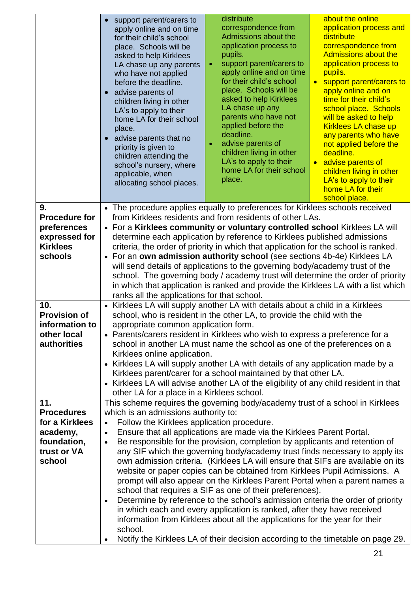|                                                                                    | support parent/carers to<br>apply online and on time<br>for their child's school<br>place. Schools will be<br>asked to help Kirklees<br>LA chase up any parents<br>who have not applied<br>before the deadline.<br>advise parents of<br>children living in other<br>LA's to apply to their<br>home LA for their school<br>place.<br>advise parents that no<br>priority is given to<br>children attending the<br>school's nursery, where<br>applicable, when<br>allocating school places.                                                                                                                                                                                                                                      | distribute<br>correspondence from<br>Admissions about the<br>application process to<br>pupils.<br>support parent/carers to<br>apply online and on time<br>for their child's school<br>place. Schools will be<br>asked to help Kirklees<br>LA chase up any<br>parents who have not<br>applied before the<br>deadline.<br>advise parents of<br>children living in other<br>LA's to apply to their<br>home LA for their school<br>place. | about the online<br>application process and<br>distribute<br>correspondence from<br><b>Admissions about the</b><br>application process to<br>pupils.<br>support parent/carers to<br>apply online and on<br>time for their child's<br>school place. Schools<br>will be asked to help<br><b>Kirklees LA chase up</b><br>any parents who have<br>not applied before the<br>deadline.<br>advise parents of<br>$\bullet$<br>children living in other<br>LA's to apply to their<br>home LA for their<br>school place. |
|------------------------------------------------------------------------------------|-------------------------------------------------------------------------------------------------------------------------------------------------------------------------------------------------------------------------------------------------------------------------------------------------------------------------------------------------------------------------------------------------------------------------------------------------------------------------------------------------------------------------------------------------------------------------------------------------------------------------------------------------------------------------------------------------------------------------------|---------------------------------------------------------------------------------------------------------------------------------------------------------------------------------------------------------------------------------------------------------------------------------------------------------------------------------------------------------------------------------------------------------------------------------------|-----------------------------------------------------------------------------------------------------------------------------------------------------------------------------------------------------------------------------------------------------------------------------------------------------------------------------------------------------------------------------------------------------------------------------------------------------------------------------------------------------------------|
| 9.                                                                                 |                                                                                                                                                                                                                                                                                                                                                                                                                                                                                                                                                                                                                                                                                                                               |                                                                                                                                                                                                                                                                                                                                                                                                                                       |                                                                                                                                                                                                                                                                                                                                                                                                                                                                                                                 |
| <b>Procedure for</b><br>preferences<br>expressed for<br><b>Kirklees</b><br>schools | • The procedure applies equally to preferences for Kirklees schools received<br>from Kirklees residents and from residents of other LAs.<br>• For a Kirklees community or voluntary controlled school Kirklees LA will<br>determine each application by reference to Kirklees published admissions<br>criteria, the order of priority in which that application for the school is ranked.<br>• For an own admission authority school (see sections 4b-4e) Kirklees LA<br>will send details of applications to the governing body/academy trust of the<br>school. The governing body / academy trust will determine the order of priority<br>in which that application is ranked and provide the Kirklees LA with a list which |                                                                                                                                                                                                                                                                                                                                                                                                                                       |                                                                                                                                                                                                                                                                                                                                                                                                                                                                                                                 |
| 10.                                                                                | ranks all the applications for that school.<br>• Kirklees LA will supply another LA with details about a child in a Kirklees                                                                                                                                                                                                                                                                                                                                                                                                                                                                                                                                                                                                  |                                                                                                                                                                                                                                                                                                                                                                                                                                       |                                                                                                                                                                                                                                                                                                                                                                                                                                                                                                                 |
| <b>Provision of</b>                                                                | school, who is resident in the other LA, to provide the child with the                                                                                                                                                                                                                                                                                                                                                                                                                                                                                                                                                                                                                                                        |                                                                                                                                                                                                                                                                                                                                                                                                                                       |                                                                                                                                                                                                                                                                                                                                                                                                                                                                                                                 |
| information to                                                                     | appropriate common application form.                                                                                                                                                                                                                                                                                                                                                                                                                                                                                                                                                                                                                                                                                          |                                                                                                                                                                                                                                                                                                                                                                                                                                       |                                                                                                                                                                                                                                                                                                                                                                                                                                                                                                                 |
| other local                                                                        |                                                                                                                                                                                                                                                                                                                                                                                                                                                                                                                                                                                                                                                                                                                               | • Parents/carers resident in Kirklees who wish to express a preference for a                                                                                                                                                                                                                                                                                                                                                          |                                                                                                                                                                                                                                                                                                                                                                                                                                                                                                                 |
| <b>authorities</b>                                                                 |                                                                                                                                                                                                                                                                                                                                                                                                                                                                                                                                                                                                                                                                                                                               | school in another LA must name the school as one of the preferences on a                                                                                                                                                                                                                                                                                                                                                              |                                                                                                                                                                                                                                                                                                                                                                                                                                                                                                                 |
|                                                                                    | Kirklees online application.                                                                                                                                                                                                                                                                                                                                                                                                                                                                                                                                                                                                                                                                                                  | • Kirklees LA will supply another LA with details of any application made by a                                                                                                                                                                                                                                                                                                                                                        |                                                                                                                                                                                                                                                                                                                                                                                                                                                                                                                 |
|                                                                                    |                                                                                                                                                                                                                                                                                                                                                                                                                                                                                                                                                                                                                                                                                                                               | Kirklees parent/carer for a school maintained by that other LA.                                                                                                                                                                                                                                                                                                                                                                       |                                                                                                                                                                                                                                                                                                                                                                                                                                                                                                                 |
|                                                                                    | • Kirklees LA will advise another LA of the eligibility of any child resident in that                                                                                                                                                                                                                                                                                                                                                                                                                                                                                                                                                                                                                                         |                                                                                                                                                                                                                                                                                                                                                                                                                                       |                                                                                                                                                                                                                                                                                                                                                                                                                                                                                                                 |
| 11.                                                                                | other LA for a place in a Kirklees school.                                                                                                                                                                                                                                                                                                                                                                                                                                                                                                                                                                                                                                                                                    |                                                                                                                                                                                                                                                                                                                                                                                                                                       |                                                                                                                                                                                                                                                                                                                                                                                                                                                                                                                 |
| <b>Procedures</b>                                                                  | which is an admissions authority to:                                                                                                                                                                                                                                                                                                                                                                                                                                                                                                                                                                                                                                                                                          | This scheme requires the governing body/academy trust of a school in Kirklees                                                                                                                                                                                                                                                                                                                                                         |                                                                                                                                                                                                                                                                                                                                                                                                                                                                                                                 |
| for a Kirklees                                                                     | Follow the Kirklees application procedure.                                                                                                                                                                                                                                                                                                                                                                                                                                                                                                                                                                                                                                                                                    |                                                                                                                                                                                                                                                                                                                                                                                                                                       |                                                                                                                                                                                                                                                                                                                                                                                                                                                                                                                 |
| academy,                                                                           | Ensure that all applications are made via the Kirklees Parent Portal.<br>$\bullet$                                                                                                                                                                                                                                                                                                                                                                                                                                                                                                                                                                                                                                            |                                                                                                                                                                                                                                                                                                                                                                                                                                       |                                                                                                                                                                                                                                                                                                                                                                                                                                                                                                                 |
| foundation,                                                                        | Be responsible for the provision, completion by applicants and retention of<br>$\bullet$                                                                                                                                                                                                                                                                                                                                                                                                                                                                                                                                                                                                                                      |                                                                                                                                                                                                                                                                                                                                                                                                                                       |                                                                                                                                                                                                                                                                                                                                                                                                                                                                                                                 |
| trust or VA                                                                        |                                                                                                                                                                                                                                                                                                                                                                                                                                                                                                                                                                                                                                                                                                                               | any SIF which the governing body/academy trust finds necessary to apply its                                                                                                                                                                                                                                                                                                                                                           |                                                                                                                                                                                                                                                                                                                                                                                                                                                                                                                 |
| school                                                                             | own admission criteria. (Kirklees LA will ensure that SIFs are available on its<br>website or paper copies can be obtained from Kirklees Pupil Admissions. A<br>prompt will also appear on the Kirklees Parent Portal when a parent names a<br>school that requires a SIF as one of their preferences).                                                                                                                                                                                                                                                                                                                                                                                                                       |                                                                                                                                                                                                                                                                                                                                                                                                                                       |                                                                                                                                                                                                                                                                                                                                                                                                                                                                                                                 |
|                                                                                    | $\bullet$                                                                                                                                                                                                                                                                                                                                                                                                                                                                                                                                                                                                                                                                                                                     | Determine by reference to the school's admission criteria the order of priority                                                                                                                                                                                                                                                                                                                                                       |                                                                                                                                                                                                                                                                                                                                                                                                                                                                                                                 |
|                                                                                    |                                                                                                                                                                                                                                                                                                                                                                                                                                                                                                                                                                                                                                                                                                                               | in which each and every application is ranked, after they have received                                                                                                                                                                                                                                                                                                                                                               |                                                                                                                                                                                                                                                                                                                                                                                                                                                                                                                 |
|                                                                                    | school.                                                                                                                                                                                                                                                                                                                                                                                                                                                                                                                                                                                                                                                                                                                       | information from Kirklees about all the applications for the year for their                                                                                                                                                                                                                                                                                                                                                           |                                                                                                                                                                                                                                                                                                                                                                                                                                                                                                                 |
|                                                                                    |                                                                                                                                                                                                                                                                                                                                                                                                                                                                                                                                                                                                                                                                                                                               | Notify the Kirklees LA of their decision according to the timetable on page 29.                                                                                                                                                                                                                                                                                                                                                       |                                                                                                                                                                                                                                                                                                                                                                                                                                                                                                                 |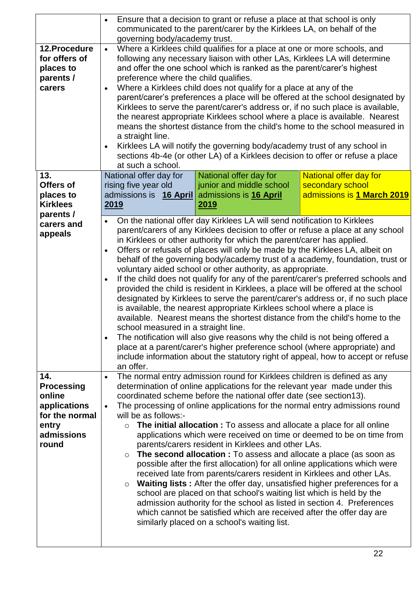|                                                                                                      | Ensure that a decision to grant or refuse a place at that school is only<br>communicated to the parent/carer by the Kirklees LA, on behalf of the<br>governing body/academy trust.                                                                                                                                                                                                                                                                                                                                                                                                                                                                                                                                                                                                                                                                                                                                                                                                                                                                                                                                                                                                                            |  |  |
|------------------------------------------------------------------------------------------------------|---------------------------------------------------------------------------------------------------------------------------------------------------------------------------------------------------------------------------------------------------------------------------------------------------------------------------------------------------------------------------------------------------------------------------------------------------------------------------------------------------------------------------------------------------------------------------------------------------------------------------------------------------------------------------------------------------------------------------------------------------------------------------------------------------------------------------------------------------------------------------------------------------------------------------------------------------------------------------------------------------------------------------------------------------------------------------------------------------------------------------------------------------------------------------------------------------------------|--|--|
| 12.Procedure<br>for offers of<br>places to<br>parents /<br>carers                                    | Where a Kirklees child qualifies for a place at one or more schools, and<br>following any necessary liaison with other LAs, Kirklees LA will determine<br>and offer the one school which is ranked as the parent/carer's highest<br>preference where the child qualifies.<br>Where a Kirklees child does not qualify for a place at any of the<br>parent/carer's preferences a place will be offered at the school designated by<br>Kirklees to serve the parent/carer's address or, if no such place is available,<br>the nearest appropriate Kirklees school where a place is available. Nearest<br>means the shortest distance from the child's home to the school measured in<br>a straight line.<br>Kirklees LA will notify the governing body/academy trust of any school in<br>$\bullet$<br>sections 4b-4e (or other LA) of a Kirklees decision to offer or refuse a place<br>at such a school.                                                                                                                                                                                                                                                                                                        |  |  |
| 13.<br>Offers of<br>places to<br><b>Kirklees</b><br>parents /                                        | National offer day for<br>National offer day for<br><b>National offer day for</b><br>secondary school<br>rising five year old<br>junior and middle school<br>admissions is 16 April<br>admissions is 1 March 2019<br>admissions is 16 April<br><u>2019</u><br><u>2019</u>                                                                                                                                                                                                                                                                                                                                                                                                                                                                                                                                                                                                                                                                                                                                                                                                                                                                                                                                     |  |  |
| carers and<br>appeals                                                                                | On the national offer day Kirklees LA will send notification to Kirklees<br>parent/carers of any Kirklees decision to offer or refuse a place at any school<br>in Kirklees or other authority for which the parent/carer has applied.<br>Offers or refusals of places will only be made by the Kirklees LA, albeit on<br>$\bullet$<br>behalf of the governing body/academy trust of a academy, foundation, trust or<br>voluntary aided school or other authority, as appropriate.<br>If the child does not qualify for any of the parent/carer's preferred schools and<br>provided the child is resident in Kirklees, a place will be offered at the school<br>designated by Kirklees to serve the parent/carer's address or, if no such place<br>is available, the nearest appropriate Kirklees school where a place is<br>available. Nearest means the shortest distance from the child's home to the<br>school measured in a straight line.<br>The notification will also give reasons why the child is not being offered a<br>place at a parent/carer's higher preference school (where appropriate) and<br>include information about the statutory right of appeal, how to accept or refuse<br>an offer. |  |  |
| 14.<br><b>Processing</b><br>online<br>applications<br>for the normal<br>entry<br>admissions<br>round | The normal entry admission round for Kirklees children is defined as any<br>$\bullet$<br>determination of online applications for the relevant year made under this<br>coordinated scheme before the national offer date (see section 13).<br>The processing of online applications for the normal entry admissions round<br>$\bullet$<br>will be as follows:-<br><b>The initial allocation :</b> To assess and allocate a place for all online<br>applications which were received on time or deemed to be on time from<br>parents/carers resident in Kirklees and other LAs.<br>The second allocation : To assess and allocate a place (as soon as<br>$\circ$<br>possible after the first allocation) for all online applications which were<br>received late from parents/carers resident in Kirklees and other LAs.<br>Waiting lists: After the offer day, unsatisfied higher preferences for a<br>school are placed on that school's waiting list which is held by the<br>admission authority for the school as listed in section 4. Preferences<br>which cannot be satisfied which are received after the offer day are<br>similarly placed on a school's waiting list.                                 |  |  |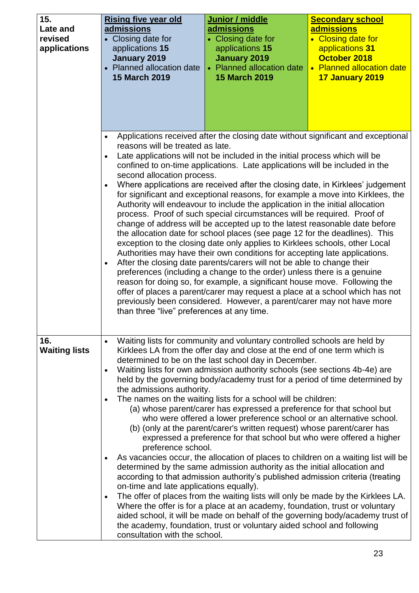| 15.<br>Late and<br>revised<br>applications | <b>Rising five year old</b><br>admissions<br>• Closing date for<br>applications 15<br>January 2019<br>• Planned allocation date<br><b>15 March 2019</b> | Junior / middle<br>admissions<br>• Closing date for<br>applications 15<br><b>January 2019</b><br><b>Planned allocation date</b><br><b>15 March 2019</b>                                                                                                                                                                                                                                                                                                                                                                                                                                                                                                                                                                                                                                                                                                                                                                                                                                                                                                                                                                                                                                                                                          | <u>Secondary school</u><br>admissions<br>• Closing date for<br>applications 31<br>October 2018<br>• Planned allocation date<br>17 January 2019 |
|--------------------------------------------|---------------------------------------------------------------------------------------------------------------------------------------------------------|--------------------------------------------------------------------------------------------------------------------------------------------------------------------------------------------------------------------------------------------------------------------------------------------------------------------------------------------------------------------------------------------------------------------------------------------------------------------------------------------------------------------------------------------------------------------------------------------------------------------------------------------------------------------------------------------------------------------------------------------------------------------------------------------------------------------------------------------------------------------------------------------------------------------------------------------------------------------------------------------------------------------------------------------------------------------------------------------------------------------------------------------------------------------------------------------------------------------------------------------------|------------------------------------------------------------------------------------------------------------------------------------------------|
|                                            | $\bullet$<br>reasons will be treated as late.<br>second allocation process.<br>$\bullet$<br>than three "live" preferences at any time.                  | Late applications will not be included in the initial process which will be<br>confined to on-time applications. Late applications will be included in the<br>Where applications are received after the closing date, in Kirklees' judgement<br>for significant and exceptional reasons, for example a move into Kirklees, the<br>Authority will endeavour to include the application in the initial allocation<br>process. Proof of such special circumstances will be required. Proof of<br>change of address will be accepted up to the latest reasonable date before<br>the allocation date for school places (see page 12 for the deadlines). This<br>exception to the closing date only applies to Kirklees schools, other Local<br>Authorities may have their own conditions for accepting late applications.<br>After the closing date parents/carers will not be able to change their<br>preferences (including a change to the order) unless there is a genuine<br>reason for doing so, for example, a significant house move. Following the<br>offer of places a parent/carer may request a place at a school which has not<br>previously been considered. However, a parent/carer may not have more                                  | Applications received after the closing date without significant and exceptional                                                               |
| 16.<br><b>Waiting lists</b>                | the admissions authority.<br>preference school.<br>on-time and late applications equally).<br>consultation with the school.                             | Waiting lists for community and voluntary controlled schools are held by<br>Kirklees LA from the offer day and close at the end of one term which is<br>determined to be on the last school day in December.<br>Waiting lists for own admission authority schools (see sections 4b-4e) are<br>held by the governing body/academy trust for a period of time determined by<br>The names on the waiting lists for a school will be children:<br>(a) whose parent/carer has expressed a preference for that school but<br>who were offered a lower preference school or an alternative school.<br>(b) (only at the parent/carer's written request) whose parent/carer has<br>expressed a preference for that school but who were offered a higher<br>As vacancies occur, the allocation of places to children on a waiting list will be<br>determined by the same admission authority as the initial allocation and<br>according to that admission authority's published admission criteria (treating<br>The offer of places from the waiting lists will only be made by the Kirklees LA.<br>Where the offer is for a place at an academy, foundation, trust or voluntary<br>the academy, foundation, trust or voluntary aided school and following | aided school, it will be made on behalf of the governing body/academy trust of                                                                 |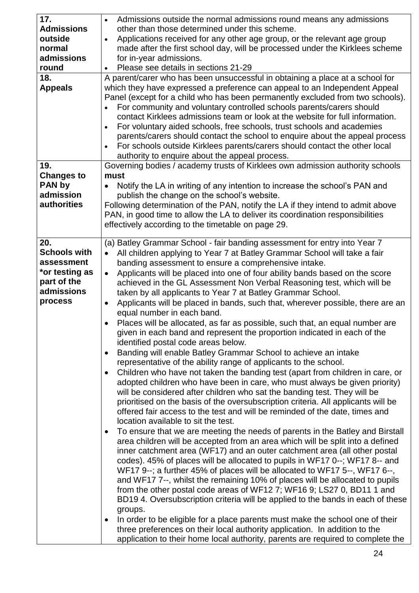| 17.                 | Admissions outside the normal admissions round means any admissions                        |
|---------------------|--------------------------------------------------------------------------------------------|
| <b>Admissions</b>   | other than those determined under this scheme.                                             |
| outside             | Applications received for any other age group, or the relevant age group<br>$\bullet$      |
| normal              | made after the first school day, will be processed under the Kirklees scheme               |
| admissions          | for in-year admissions.                                                                    |
| round               | Please see details in sections 21-29<br>$\bullet$                                          |
| 18.                 | A parent/carer who has been unsuccessful in obtaining a place at a school for              |
| <b>Appeals</b>      | which they have expressed a preference can appeal to an Independent Appeal                 |
|                     | Panel (except for a child who has been permanently excluded from two schools).             |
|                     | For community and voluntary controlled schools parents/carers should                       |
|                     | contact Kirklees admissions team or look at the website for full information.              |
|                     | For voluntary aided schools, free schools, trust schools and academies                     |
|                     | parents/carers should contact the school to enquire about the appeal process               |
|                     | For schools outside Kirklees parents/carers should contact the other local                 |
|                     | authority to enquire about the appeal process.                                             |
| 19.                 | Governing bodies / academy trusts of Kirklees own admission authority schools              |
| <b>Changes to</b>   | must                                                                                       |
| <b>PAN by</b>       | Notify the LA in writing of any intention to increase the school's PAN and                 |
| admission           | publish the change on the school's website.                                                |
| <b>authorities</b>  | Following determination of the PAN, notify the LA if they intend to admit above            |
|                     | PAN, in good time to allow the LA to deliver its coordination responsibilities             |
|                     | effectively according to the timetable on page 29.                                         |
|                     |                                                                                            |
| 20.                 | (a) Batley Grammar School - fair banding assessment for entry into Year 7                  |
| <b>Schools with</b> | All children applying to Year 7 at Batley Grammar School will take a fair                  |
| assessment          | banding assessment to ensure a comprehensive intake.                                       |
| *or testing as      | Applicants will be placed into one of four ability bands based on the score<br>$\bullet$   |
| part of the         | achieved in the GL Assessment Non Verbal Reasoning test, which will be                     |
| admissions          | taken by all applicants to Year 7 at Batley Grammar School.                                |
| process             | Applicants will be placed in bands, such that, wherever possible, there are an             |
|                     | equal number in each band.                                                                 |
|                     | Places will be allocated, as far as possible, such that, an equal number are<br>$\bullet$  |
|                     | given in each band and represent the proportion indicated in each of the                   |
|                     | identified postal code areas below.                                                        |
|                     | Banding will enable Batley Grammar School to achieve an intake<br>$\bullet$                |
|                     | representative of the ability range of applicants to the school.                           |
|                     | Children who have not taken the banding test (apart from children in care, or<br>$\bullet$ |
|                     | adopted children who have been in care, who must always be given priority)                 |
|                     | will be considered after children who sat the banding test. They will be                   |
|                     | prioritised on the basis of the oversubscription criteria. All applicants will be          |
|                     | offered fair access to the test and will be reminded of the date, times and                |
|                     | location available to sit the test.                                                        |
|                     | To ensure that we are meeting the needs of parents in the Batley and Birstall              |
|                     | area children will be accepted from an area which will be split into a defined             |
|                     | inner catchment area (WF17) and an outer catchment area (all other postal                  |
|                     | codes). 45% of places will be allocated to pupils in WF17 0--; WF17 8-- and                |
|                     | WF17 9--; a further 45% of places will be allocated to WF17 5--, WF17 6--,                 |
|                     | and WF17 7--, whilst the remaining 10% of places will be allocated to pupils               |
|                     | from the other postal code areas of WF12 7; WF16 9; LS27 0, BD11 1 and                     |
|                     | BD194. Oversubscription criteria will be applied to the bands in each of these             |
|                     | groups.                                                                                    |
|                     | In order to be eligible for a place parents must make the school one of their              |
|                     | three preferences on their local authority application. In addition to the                 |
|                     | application to their home local authority, parents are required to complete the            |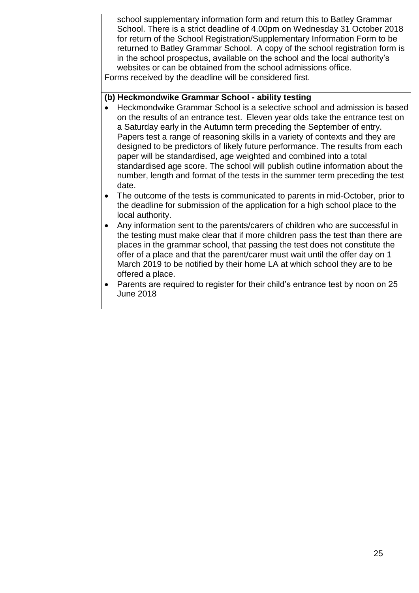| school supplementary information form and return this to Batley Grammar<br>School. There is a strict deadline of 4.00pm on Wednesday 31 October 2018<br>for return of the School Registration/Supplementary Information Form to be<br>returned to Batley Grammar School. A copy of the school registration form is<br>in the school prospectus, available on the school and the local authority's<br>websites or can be obtained from the school admissions office.<br>Forms received by the deadline will be considered first.                                                                                                                                                                                                                                                                                                                                                                                                                                                                                                                                                                                                                                                                                                                                                                                                                                                                                                          |
|------------------------------------------------------------------------------------------------------------------------------------------------------------------------------------------------------------------------------------------------------------------------------------------------------------------------------------------------------------------------------------------------------------------------------------------------------------------------------------------------------------------------------------------------------------------------------------------------------------------------------------------------------------------------------------------------------------------------------------------------------------------------------------------------------------------------------------------------------------------------------------------------------------------------------------------------------------------------------------------------------------------------------------------------------------------------------------------------------------------------------------------------------------------------------------------------------------------------------------------------------------------------------------------------------------------------------------------------------------------------------------------------------------------------------------------|
| (b) Heckmondwike Grammar School - ability testing<br>Heckmondwike Grammar School is a selective school and admission is based<br>on the results of an entrance test. Eleven year olds take the entrance test on<br>a Saturday early in the Autumn term preceding the September of entry.<br>Papers test a range of reasoning skills in a variety of contexts and they are<br>designed to be predictors of likely future performance. The results from each<br>paper will be standardised, age weighted and combined into a total<br>standardised age score. The school will publish outline information about the<br>number, length and format of the tests in the summer term preceding the test<br>date.<br>The outcome of the tests is communicated to parents in mid-October, prior to<br>the deadline for submission of the application for a high school place to the<br>local authority.<br>Any information sent to the parents/carers of children who are successful in<br>the testing must make clear that if more children pass the test than there are<br>places in the grammar school, that passing the test does not constitute the<br>offer of a place and that the parent/carer must wait until the offer day on 1<br>March 2019 to be notified by their home LA at which school they are to be<br>offered a place.<br>Parents are required to register for their child's entrance test by noon on 25<br><b>June 2018</b> |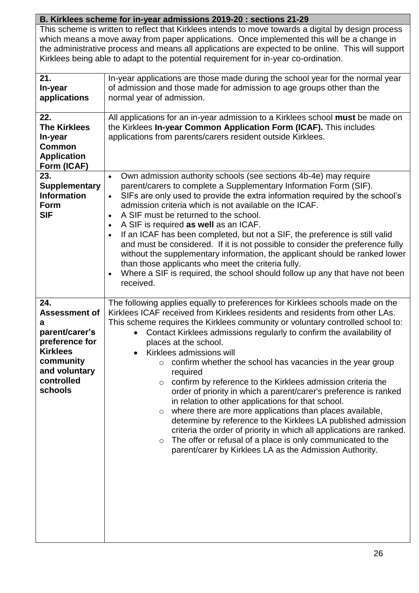# **B. Kirklees scheme for in-year admissions 2019-20 : sections 21-29**

This scheme is written to reflect that Kirklees intends to move towards a digital by design process which means a move away from paper applications. Once implemented this will be a change in the administrative process and means all applications are expected to be online. This will support Kirklees being able to adapt to the potential requirement for in-year co-ordination.

| 21.<br>In-year<br>applications                                                                                                                 | In-year applications are those made during the school year for the normal year<br>of admission and those made for admission to age groups other than the<br>normal year of admission.                                                                                                                                                                                                                                                                                                                                                                                                                                                                                                                                                                                                                                                                                                                                                                                                                                                             |
|------------------------------------------------------------------------------------------------------------------------------------------------|---------------------------------------------------------------------------------------------------------------------------------------------------------------------------------------------------------------------------------------------------------------------------------------------------------------------------------------------------------------------------------------------------------------------------------------------------------------------------------------------------------------------------------------------------------------------------------------------------------------------------------------------------------------------------------------------------------------------------------------------------------------------------------------------------------------------------------------------------------------------------------------------------------------------------------------------------------------------------------------------------------------------------------------------------|
| 22.<br><b>The Kirklees</b><br>In-year<br><b>Common</b><br><b>Application</b><br>Form (ICAF)                                                    | All applications for an in-year admission to a Kirklees school must be made on<br>the Kirklees In-year Common Application Form (ICAF). This includes<br>applications from parents/carers resident outside Kirklees.                                                                                                                                                                                                                                                                                                                                                                                                                                                                                                                                                                                                                                                                                                                                                                                                                               |
| 23.<br><b>Supplementary</b><br><b>Information</b><br>Form<br><b>SIF</b>                                                                        | Own admission authority schools (see sections 4b-4e) may require<br>$\bullet$<br>parent/carers to complete a Supplementary Information Form (SIF).<br>SIFs are only used to provide the extra information required by the school's<br>$\bullet$<br>admission criteria which is not available on the ICAF.<br>A SIF must be returned to the school.<br>$\bullet$<br>A SIF is required as well as an ICAF.<br>$\bullet$<br>If an ICAF has been completed, but not a SIF, the preference is still valid<br>$\bullet$<br>and must be considered. If it is not possible to consider the preference fully<br>without the supplementary information, the applicant should be ranked lower<br>than those applicants who meet the criteria fully.<br>Where a SIF is required, the school should follow up any that have not been<br>$\bullet$<br>received.                                                                                                                                                                                                 |
| 24.<br><b>Assessment of</b><br>a<br>parent/carer's<br>preference for<br><b>Kirklees</b><br>community<br>and voluntary<br>controlled<br>schools | The following applies equally to preferences for Kirklees schools made on the<br>Kirklees ICAF received from Kirklees residents and residents from other LAs.<br>This scheme requires the Kirklees community or voluntary controlled school to:<br>Contact Kirklees admissions regularly to confirm the availability of<br>$\bullet$<br>places at the school.<br>Kirklees admissions will<br>$\bullet$<br>confirm whether the school has vacancies in the year group<br>$\circ$<br>required<br>$\circ$ confirm by reference to the Kirklees admission criteria the<br>order of priority in which a parent/carer's preference is ranked<br>in relation to other applications for that school.<br>where there are more applications than places available,<br>$\circ$<br>determine by reference to the Kirklees LA published admission<br>criteria the order of priority in which all applications are ranked.<br>The offer or refusal of a place is only communicated to the<br>$\circ$<br>parent/carer by Kirklees LA as the Admission Authority. |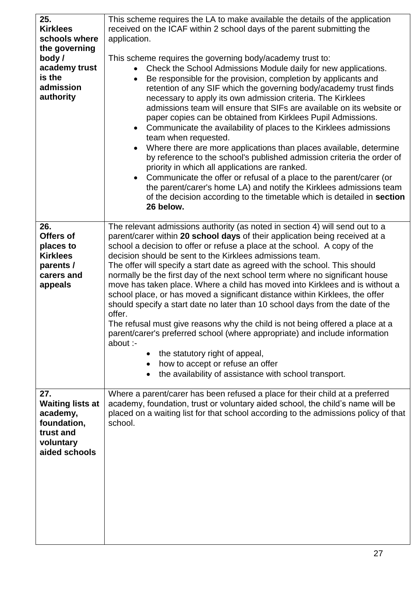| 25.<br><b>Kirklees</b><br>schools where<br>the governing<br>body/<br>academy trust<br>is the<br>admission<br>authority | This scheme requires the LA to make available the details of the application<br>received on the ICAF within 2 school days of the parent submitting the<br>application.<br>This scheme requires the governing body/academy trust to:<br>Check the School Admissions Module daily for new applications.<br>$\bullet$<br>Be responsible for the provision, completion by applicants and<br>retention of any SIF which the governing body/academy trust finds<br>necessary to apply its own admission criteria. The Kirklees<br>admissions team will ensure that SIFs are available on its website or<br>paper copies can be obtained from Kirklees Pupil Admissions.<br>Communicate the availability of places to the Kirklees admissions<br>$\bullet$<br>team when requested.<br>Where there are more applications than places available, determine<br>by reference to the school's published admission criteria the order of<br>priority in which all applications are ranked.<br>Communicate the offer or refusal of a place to the parent/carer (or<br>$\bullet$<br>the parent/carer's home LA) and notify the Kirklees admissions team<br>of the decision according to the timetable which is detailed in section<br>26 below. |
|------------------------------------------------------------------------------------------------------------------------|----------------------------------------------------------------------------------------------------------------------------------------------------------------------------------------------------------------------------------------------------------------------------------------------------------------------------------------------------------------------------------------------------------------------------------------------------------------------------------------------------------------------------------------------------------------------------------------------------------------------------------------------------------------------------------------------------------------------------------------------------------------------------------------------------------------------------------------------------------------------------------------------------------------------------------------------------------------------------------------------------------------------------------------------------------------------------------------------------------------------------------------------------------------------------------------------------------------------------------|
|                                                                                                                        |                                                                                                                                                                                                                                                                                                                                                                                                                                                                                                                                                                                                                                                                                                                                                                                                                                                                                                                                                                                                                                                                                                                                                                                                                                  |
| 26.<br>Offers of<br>places to<br><b>Kirklees</b><br>parents /<br>carers and<br>appeals                                 | The relevant admissions authority (as noted in section 4) will send out to a<br>parent/carer within 20 school days of their application being received at a<br>school a decision to offer or refuse a place at the school. A copy of the<br>decision should be sent to the Kirklees admissions team.<br>The offer will specify a start date as agreed with the school. This should<br>normally be the first day of the next school term where no significant house<br>move has taken place. Where a child has moved into Kirklees and is without a<br>school place, or has moved a significant distance within Kirklees, the offer<br>should specify a start date no later than 10 school days from the date of the<br>offer.<br>The refusal must give reasons why the child is not being offered a place at a<br>parent/carer's preferred school (where appropriate) and include information<br>about :-<br>the statutory right of appeal,<br>$\bullet$<br>how to accept or refuse an offer<br>$\bullet$<br>the availability of assistance with school transport.                                                                                                                                                               |
| 27.<br><b>Waiting lists at</b><br>academy,<br>foundation,<br>trust and<br>voluntary<br>aided schools                   | Where a parent/carer has been refused a place for their child at a preferred<br>academy, foundation, trust or voluntary aided school, the child's name will be<br>placed on a waiting list for that school according to the admissions policy of that<br>school.                                                                                                                                                                                                                                                                                                                                                                                                                                                                                                                                                                                                                                                                                                                                                                                                                                                                                                                                                                 |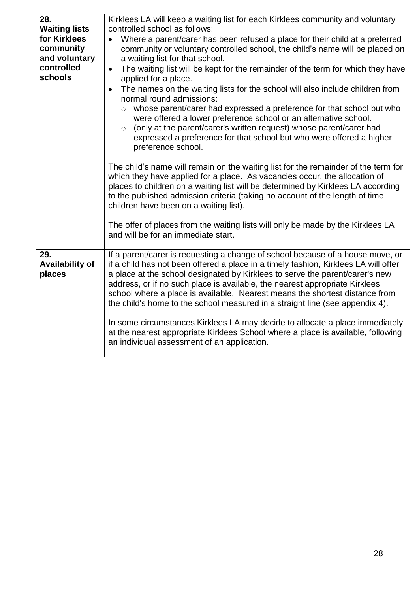| Kirklees LA will keep a waiting list for each Kirklees community and voluntary<br>controlled school as follows:<br>Where a parent/carer has been refused a place for their child at a preferred<br>community or voluntary controlled school, the child's name will be placed on<br>a waiting list for that school.<br>The waiting list will be kept for the remainder of the term for which they have<br>$\bullet$<br>applied for a place.<br>The names on the waiting lists for the school will also include children from<br>normal round admissions:<br>whose parent/carer had expressed a preference for that school but who<br>$\circ$<br>were offered a lower preference school or an alternative school.<br>(only at the parent/carer's written request) whose parent/carer had<br>$\circ$<br>expressed a preference for that school but who were offered a higher<br>preference school.<br>The child's name will remain on the waiting list for the remainder of the term for<br>which they have applied for a place. As vacancies occur, the allocation of<br>places to children on a waiting list will be determined by Kirklees LA according<br>to the published admission criteria (taking no account of the length of time<br>children have been on a waiting list).<br>The offer of places from the waiting lists will only be made by the Kirklees LA<br>and will be for an immediate start. |
|-------------------------------------------------------------------------------------------------------------------------------------------------------------------------------------------------------------------------------------------------------------------------------------------------------------------------------------------------------------------------------------------------------------------------------------------------------------------------------------------------------------------------------------------------------------------------------------------------------------------------------------------------------------------------------------------------------------------------------------------------------------------------------------------------------------------------------------------------------------------------------------------------------------------------------------------------------------------------------------------------------------------------------------------------------------------------------------------------------------------------------------------------------------------------------------------------------------------------------------------------------------------------------------------------------------------------------------------------------------------------------------------------------------|
|                                                                                                                                                                                                                                                                                                                                                                                                                                                                                                                                                                                                                                                                                                                                                                                                                                                                                                                                                                                                                                                                                                                                                                                                                                                                                                                                                                                                             |
| If a parent/carer is requesting a change of school because of a house move, or<br>if a child has not been offered a place in a timely fashion, Kirklees LA will offer<br>a place at the school designated by Kirklees to serve the parent/carer's new<br>address, or if no such place is available, the nearest appropriate Kirklees<br>school where a place is available. Nearest means the shortest distance from<br>the child's home to the school measured in a straight line (see appendix 4).<br>In some circumstances Kirklees LA may decide to allocate a place immediately<br>at the nearest appropriate Kirklees School where a place is available, following<br>an individual assessment of an application.                                                                                                                                                                                                                                                                                                                                                                                                                                                                                                                                                                                                                                                                                      |
|                                                                                                                                                                                                                                                                                                                                                                                                                                                                                                                                                                                                                                                                                                                                                                                                                                                                                                                                                                                                                                                                                                                                                                                                                                                                                                                                                                                                             |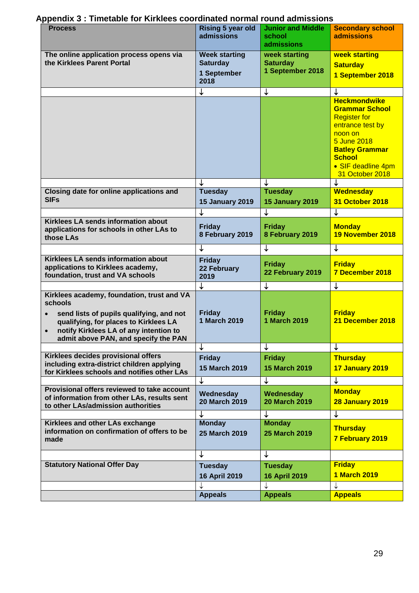| <b>Process</b>                                                                                                                                                                                                                                         | <b>Rising 5 year old</b><br>admissions                         | <b>Junior and Middle</b><br>school<br>admissions     | <b>Secondary school</b><br><b>admissions</b>                                                                                                                                                         |
|--------------------------------------------------------------------------------------------------------------------------------------------------------------------------------------------------------------------------------------------------------|----------------------------------------------------------------|------------------------------------------------------|------------------------------------------------------------------------------------------------------------------------------------------------------------------------------------------------------|
| The online application process opens via<br>the Kirklees Parent Portal                                                                                                                                                                                 | <b>Week starting</b><br><b>Saturday</b><br>1 September<br>2018 | week starting<br><b>Saturday</b><br>1 September 2018 | week starting<br><b>Saturday</b><br>1 September 2018                                                                                                                                                 |
|                                                                                                                                                                                                                                                        | ↓                                                              | ↓                                                    |                                                                                                                                                                                                      |
|                                                                                                                                                                                                                                                        |                                                                |                                                      | <b>Heckmondwike</b><br><b>Grammar School</b><br><b>Register for</b><br>entrance test by<br>noon on<br>5 June 2018<br><b>Batley Grammar</b><br><b>School</b><br>• SIF deadline 4pm<br>31 October 2018 |
|                                                                                                                                                                                                                                                        |                                                                |                                                      |                                                                                                                                                                                                      |
| Closing date for online applications and<br><b>SIFs</b>                                                                                                                                                                                                | <b>Tuesday</b><br><b>15 January 2019</b>                       | <b>Tuesday</b><br><b>15 January 2019</b>             | <b>Wednesday</b><br>31 October 2018                                                                                                                                                                  |
|                                                                                                                                                                                                                                                        |                                                                | ↓                                                    | ↓                                                                                                                                                                                                    |
| Kirklees LA sends information about<br>applications for schools in other LAs to<br>those LAs                                                                                                                                                           | <b>Friday</b><br>8 February 2019                               | <b>Friday</b><br>8 February 2019                     | <b>Monday</b><br>19 November 2018                                                                                                                                                                    |
|                                                                                                                                                                                                                                                        | ↓                                                              | ↓                                                    | ↓                                                                                                                                                                                                    |
| Kirklees LA sends information about<br>applications to Kirklees academy,<br>foundation, trust and VA schools                                                                                                                                           | <b>Friday</b><br>22 February<br>2019                           | <b>Friday</b><br>22 February 2019                    | <b>Friday</b><br>7 December 2018                                                                                                                                                                     |
|                                                                                                                                                                                                                                                        | ↓                                                              | ↓                                                    | ↓                                                                                                                                                                                                    |
| Kirklees academy, foundation, trust and VA<br>schools<br>send lists of pupils qualifying, and not<br>$\bullet$<br>qualifying, for places to Kirklees LA<br>notify Kirklees LA of any intention to<br>$\bullet$<br>admit above PAN, and specify the PAN | <b>Friday</b><br>1 March 2019                                  | <b>Friday</b><br>1 March 2019                        | <b>Friday</b><br>21 December 2018                                                                                                                                                                    |
|                                                                                                                                                                                                                                                        |                                                                | ↓                                                    | ↓                                                                                                                                                                                                    |
| Kirklees decides provisional offers<br>including extra-district children applying<br>for Kirklees schools and notifies other LAs                                                                                                                       | <b>Friday</b><br>15 March 2019                                 | <b>Friday</b><br><b>15 March 2019</b>                | <b>Thursday</b><br>17 January 2019                                                                                                                                                                   |
| Provisional offers reviewed to take account<br>of information from other LAs, results sent<br>to other LAs/admission authorities                                                                                                                       | ↓<br>Wednesday<br><b>20 March 2019</b>                         | ↓<br>Wednesday<br><b>20 March 2019</b>               | ↓<br><b>Monday</b><br><b>28 January 2019</b>                                                                                                                                                         |
|                                                                                                                                                                                                                                                        |                                                                | ↓                                                    | $\downarrow$                                                                                                                                                                                         |
| Kirklees and other LAs exchange<br>information on confirmation of offers to be<br>made                                                                                                                                                                 | <b>Monday</b><br>25 March 2019                                 | <b>Monday</b><br><b>25 March 2019</b>                | <b>Thursday</b><br>7 February 2019                                                                                                                                                                   |
|                                                                                                                                                                                                                                                        | ↓                                                              | ↓                                                    |                                                                                                                                                                                                      |
| <b>Statutory National Offer Day</b>                                                                                                                                                                                                                    | <b>Tuesday</b><br><b>16 April 2019</b>                         | <b>Tuesday</b><br><b>16 April 2019</b>               | <b>Friday</b><br><b>1 March 2019</b>                                                                                                                                                                 |
|                                                                                                                                                                                                                                                        | <b>Appeals</b>                                                 | ↓<br><b>Appeals</b>                                  | ↓<br><b>Appeals</b>                                                                                                                                                                                  |

# **Appendix 3 : Timetable for Kirklees coordinated normal round admissions**